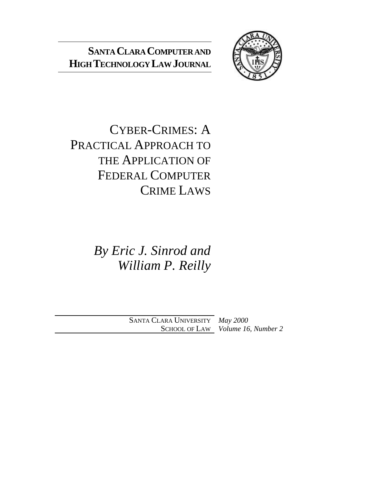# **SANTA CLARA COMPUTER AND HIGHTECHNOLOGY LAWJOURNAL**



CYBER-CRIMES: A PRACTICAL APPROACH TO THE APPLICATION OF FEDERAL COMPUTER CRIME LAWS

> *By Eric J. Sinrod and William P. Reilly*

SANTA CLARA UNIVERSITY *May 2000* SCHOOL OF LAW *Volume 16, Number 2*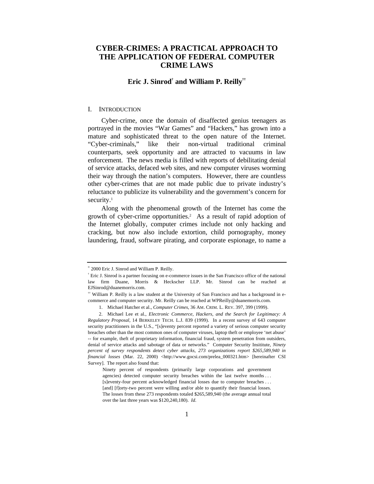# **CYBER-CRIMES: A PRACTICAL APPROACH TO THE APPLICATION OF FEDERAL COMPUTER CRIME LAWS**

## **Eric J. Sinrod† and William P. Reilly††**

#### I. INTRODUCTION

Cyber-crime, once the domain of disaffected genius teenagers as portrayed in the movies "War Games" and "Hackers," has grown into a mature and sophisticated threat to the open nature of the Internet. "Cyber-criminals," like their non-virtual traditional criminal counterparts, seek opportunity and are attracted to vacuums in law enforcement. The news media is filled with reports of debilitating denial of service attacks, defaced web sites, and new computer viruses worming their way through the nation's computers. However, there are countless other cyber-crimes that are not made public due to private industry's reluctance to publicize its vulnerability and the government's concern for security.<sup>1</sup>

Along with the phenomenal growth of the Internet has come the growth of cyber-crime opportunities.<sup>2</sup> As a result of rapid adoption of the Internet globally, computer crimes include not only hacking and cracking, but now also include extortion, child pornography, money laundering, fraud, software pirating, and corporate espionage, to name a

<sup>©</sup> 2000 Eric J. Sinrod and William P. Reilly.

<sup>†</sup> Eric J. Sinrod is a partner focusing on e-commerce issues in the San Francisco office of the national law firm Duane, Morris & Heckscher LLP. Mr. Sinrod can be reached at EJSinrod@duanemorris.com.

<sup>††</sup> William P. Reilly is a law student at the University of San Francisco and has a background in ecommerce and computer security. Mr. Reilly can be reached at WPReilly@duanemorris.com.

<sup>1.</sup> Michael Hatcher et al., *Computer Crimes*, 36 AM. CRIM. L. REV. 397, 399 (1999).

<sup>2.</sup> Michael Lee et al., *Electronic Commerce, Hackers, and the Search for Legitimacy: A Regulatory Proposal,* 14 BERKELEY TECH. L.J. 839 (1999). In a recent survey of 643 computer security practitioners in the U.S., "[s]eventy percent reported a variety of serious computer security breaches other than the most common ones of computer viruses, laptop theft or employee 'net abuse' -- for example, theft of proprietary information, financial fraud, system penetration from outsiders, denial of service attacks and sabotage of data or networks." Computer Security Insititute, *Ninety percent of survey respondents detect cyber attacks, 273 organizations report \$265,589,940 in financial losses* (Mar. 22, 2000) <http://www.gocsi.com/prelea\_000321.htm> [hereinafter CSI Survey]. The report also found that:

Ninety percent of respondents (primarily large corporations and government agencies) detected computer security breaches within the last twelve months ... [s]eventy-four percent acknowledged financial losses due to computer breaches . . . [and] [f]orty-two percent were willing and/or able to quantify their financial losses. The losses from these 273 respondents totaled \$265,589,940 (the average annual total over the last three years was \$120,240,180). *Id*.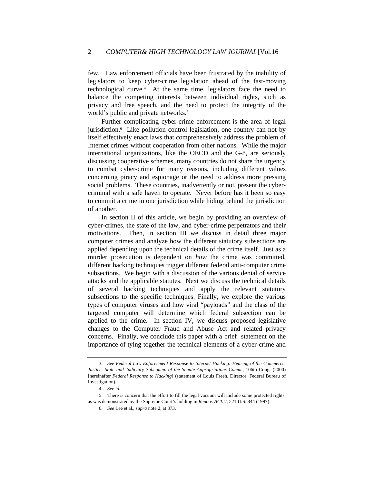few.<sup>3</sup> Law enforcement officials have been frustrated by the inability of legislators to keep cyber-crime legislation ahead of the fast-moving technological curve.<sup>4</sup> At the same time, legislators face the need to balance the competing interests between individual rights, such as privacy and free speech, and the need to protect the integrity of the world's public and private networks.<sup>5</sup>

Further complicating cyber-crime enforcement is the area of legal jurisdiction.<sup>6</sup> Like pollution control legislation, one country can not by itself effectively enact laws that comprehensively address the problem of Internet crimes without cooperation from other nations. While the major international organizations, like the OECD and the G-8, are seriously discussing cooperative schemes, many countries do not share the urgency to combat cyber-crime for many reasons, including different values concerning piracy and espionage or the need to address more pressing social problems. These countries, inadvertently or not, present the cybercriminal with a safe haven to operate. Never before has it been so easy to commit a crime in one jurisdiction while hiding behind the jurisdiction of another.

In section II of this article, we begin by providing an overview of cyber-crimes, the state of the law, and cyber-crime perpetrators and their motivations. Then, in section III we discuss in detail three major computer crimes and analyze how the different statutory subsections are applied depending upon the technical details of the crime itself. Just as a murder prosecution is dependent on *how* the crime was committed, different hacking techniques trigger different federal anti-computer crime subsections. We begin with a discussion of the various denial of service attacks and the applicable statutes. Next we discuss the technical details of several hacking techniques and apply the relevant statutory subsections to the specific techniques. Finally, we explore the various types of computer viruses and how viral "payloads" and the class of the targeted computer will determine which federal subsection can be applied to the crime. In section IV, we discuss proposed legislative changes to the Computer Fraud and Abuse Act and related privacy concerns. Finally, we conclude this paper with a brief statement on the importance of tying together the technical elements of a cyber-crime and

<sup>3</sup>*. See Federal Law Enforcement Response to Internet Hacking: Hearing of the Commerce, Justice, State and Judiciary Subcomm. of the Senate Appropriations Comm.*, 106th Cong. (2000) [hereinafter *Federal Response to Hacking*] (statement of Louis Freeh, Director, Federal Bureau of Investigation).

<sup>4</sup>*. See id.*

<sup>5.</sup> There is concern that the effort to fill the legal vacuum will include some protected rights, as was demonstrated by the Supreme Court's holding in *Reno v. ACLU*, 521 U.S. 844 (1997).

<sup>6</sup>*. See* Lee et al., *supra* note 2, at 873.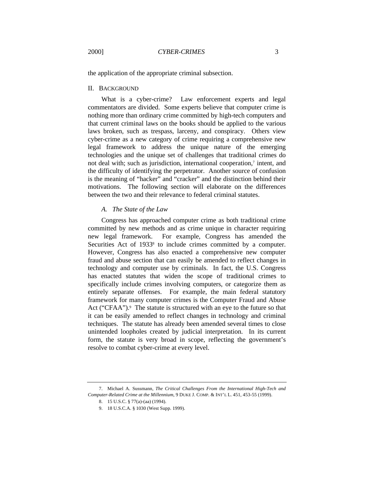the application of the appropriate criminal subsection.

## II. BACKGROUND

What is a cyber-crime? Law enforcement experts and legal commentators are divided. Some experts believe that computer crime is nothing more than ordinary crime committed by high-tech computers and that current criminal laws on the books should be applied to the various laws broken, such as trespass, larceny, and conspiracy. Others view cyber-crime as a new category of crime requiring a comprehensive new legal framework to address the unique nature of the emerging technologies and the unique set of challenges that traditional crimes do not deal with; such as jurisdiction, international cooperation,<sup>7</sup> intent, and the difficulty of identifying the perpetrator. Another source of confusion is the meaning of "hacker" and "cracker" and the distinction behind their motivations. The following section will elaborate on the differences between the two and their relevance to federal criminal statutes.

## *A. The State of the Law*

Congress has approached computer crime as both traditional crime committed by new methods and as crime unique in character requiring new legal framework. For example, Congress has amended the Securities Act of 1933<sup>8</sup> to include crimes committed by a computer. However, Congress has also enacted a comprehensive new computer fraud and abuse section that can easily be amended to reflect changes in technology and computer use by criminals. In fact, the U.S. Congress has enacted statutes that widen the scope of traditional crimes to specifically include crimes involving computers, or categorize them as entirely separate offenses. For example, the main federal statutory framework for many computer crimes is the Computer Fraud and Abuse Act ("CFAA").<sup>9</sup> The statute is structured with an eye to the future so that it can be easily amended to reflect changes in technology and criminal techniques. The statute has already been amended several times to close unintended loopholes created by judicial interpretation. In its current form, the statute is very broad in scope, reflecting the government's resolve to combat cyber-crime at every level.

<sup>7.</sup> Michael A. Sussmann, *The Critical Challenges From the International High-Tech and Computer-Related Crime at the Millennium*, 9 DUKE J. COMP. & INT'L L. 451, 453-55 (1999).

<sup>8.</sup> 15 U.S.C. § 77(a)-(aa) (1994).

<sup>9.</sup> 18 U.S.C.A. § 1030 (West Supp. 1999).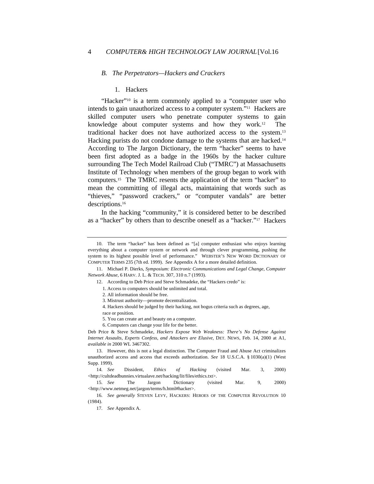#### *B. The Perpetrators—Hackers and Crackers*

#### 1. Hackers

"Hacker"<sup>10</sup> is a term commonly applied to a "computer user who intends to gain unauthorized access to a computer system."11 Hackers are skilled computer users who penetrate computer systems to gain knowledge about computer systems and how they work.12 The traditional hacker does not have authorized access to the system.<sup>13</sup> Hacking purists do not condone damage to the systems that are hacked.<sup>14</sup> According to The Jargon Dictionary, the term "hacker" seems to have been first adopted as a badge in the 1960s by the hacker culture surrounding The Tech Model Railroad Club ("TMRC") at Massachusetts Institute of Technology when members of the group began to work with computers.15 The TMRC resents the application of the term "hacker" to mean the committing of illegal acts, maintaining that words such as "thieves," "password crackers," or "computer vandals" are better descriptions.<sup>16</sup>

In the hacking "community," it is considered better to be described as a "hacker" by others than to describe oneself as a "hacker."17 Hackers

<sup>10.</sup> The term "hacker" has been defined as "[a] computer enthusiast who enjoys learning everything about a computer system or network and through clever programming, pushing the system to its highest possible level of performance." WEBSTER'S NEW WORD DICTIONARY OF COMPUTER TERMS 235 (7th ed. 1999). *See* Appendix A for a more detailed definition.

<sup>11.</sup> Michael P. Dierks, *Symposium: Electronic Communications and Legal Change, Computer Network Abuse*, 6 HARV. J. L. & TECH. 307, 310 n.7 (1993).

<sup>12.</sup> According to Deb Price and Steve Schmadeke, the "Hackers credo" is:

<sup>1.</sup> Access to computers should be unlimited and total.

<sup>2.</sup> All information should be free.

<sup>3.</sup> Mistrust authority—promote decentralization.

<sup>4.</sup> Hackers should be judged by their hacking, not bogus criteria such as degrees, age,

race or position.

<sup>5.</sup> You can create art and beauty on a computer.

<sup>6.</sup> Computers can change your life for the better.

Deb Price & Steve Schmadeke, *Hackers Expose Web Weakness: There's No Defense Against Internet Assaults, Experts Confess, and Attackers are Elusive,* DET. NEWS, Feb. 14, 2000 at A1, *available in* 2000 WL 3467302.

<sup>13.</sup> However, this is not a legal distinction. The Computer Fraud and Abuse Act criminalizes unauthorized access and access that exceeds authorization. *See* 18 U.S.C.A. § 1030(a)(1) (West Supp. 1999).

<sup>14</sup>*. See* Dissident, *Ethics of Hacking* (visited Mar. 3, 2000) <http://cultdeadbunnies.virtualave.net/hacking/lit/files/ethics.txt>.

<sup>15</sup>*. See* The Jargon Dictionary (visited Mar. 9, 2000) <http://www.netmeg.net/jargon/terms/h.html#hacker>.

<sup>16</sup>*. See generally* STEVEN LEVY, HACKERS: HEROES OF THE COMPUTER REVOLUTION 10 (1984).

<sup>17</sup>*. See* Appendix A.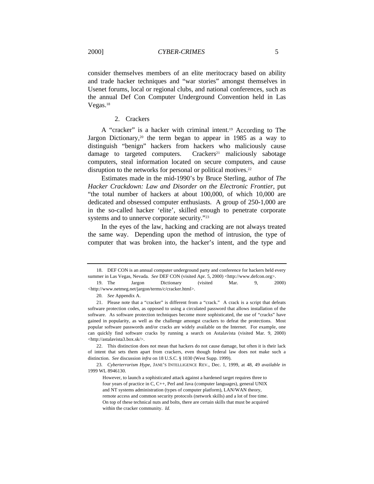consider themselves members of an elite meritocracy based on ability and trade hacker techniques and "war stories" amongst themselves in Usenet forums, local or regional clubs, and national conferences, such as the annual Def Con Computer Underground Convention held in Las Vegas.<sup>18</sup>

2. Crackers

A "cracker" is a hacker with criminal intent.19 According to The Jargon Dictionary,<sup>20</sup> the term began to appear in 1985 as a way to distinguish "benign" hackers from hackers who maliciously cause damage to targeted computers. Crackers<sup>21</sup> maliciously sabotage computers, steal information located on secure computers, and cause disruption to the networks for personal or political motives.<sup>22</sup>

Estimates made in the mid-1990's by Bruce Sterling, author of *The Hacker Crackdown: Law and Disorder on the Electronic Frontier*, put "the total number of hackers at about 100,000, of which 10,000 are dedicated and obsessed computer enthusiasts. A group of 250-1,000 are in the so-called hacker 'elite', skilled enough to penetrate corporate systems and to unnerve corporate security."<sup>23</sup>

In the eyes of the law, hacking and cracking are not always treated the same way. Depending upon the method of intrusion, the type of computer that was broken into, the hacker's intent, and the type and

20*. See* Appendix A.

<sup>18.</sup> DEF CON is an annual computer underground party and conference for hackers held every summer in Las Vegas, Nevada. *See* DEF CON (visited Apr. 5, 2000) <http://www.defcon.org>.

<sup>19.</sup> The Jargon Dictionary (visited Mar. 9, 2000) <http://www.netmeg.net/jargon/terms/c/cracker.html>.

<sup>21.</sup> Please note that a "cracker" is different from a "crack." A crack is a script that defeats software protection codes, as opposed to using a circulated password that allows installation of the software. As software protection techniques become more sophisticated, the use of "cracks" have gained in popularity, as well as the challenge amongst crackers to defeat the protections. Most popular software passwords and/or cracks are widely available on the Internet. For example, one can quickly find software cracks by running a search on Astalavista (visited Mar. 9, 2000) <http://astalavista3.box.sk/>.

<sup>22.</sup> This distinction does not mean that hackers do not cause damage, but often it is their lack of intent that sets them apart from crackers, even though federal law does not make such a distinction. *See* discussion *infra* on 18 U.S.C. § 1030 (West Supp. 1999).

<sup>23</sup>*. Cyberterrorism Hype*, JANE'S INTELLIGENCE REV., Dec. 1, 1999, at 48, 49 *available in* 1999 WL 8946130.

However, to launch a sophisticated attack against a hardened target requires three to four years of practice in C, C++, Perl and Java (computer languages), general UNIX and NT systems administration (types of computer platform), LAN/WAN theory, remote access and common security protocols (network skills) and a lot of free time. On top of these technical nuts and bolts, there are certain skills that must be acquired within the cracker community. *Id.*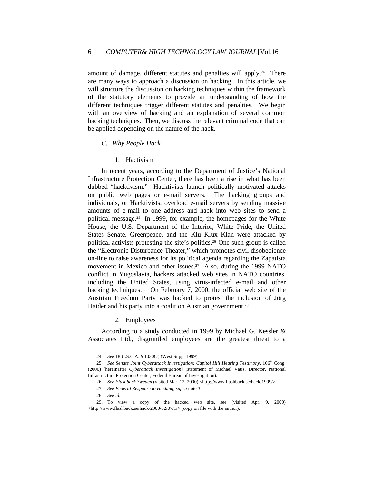amount of damage, different statutes and penalties will apply.24 There are many ways to approach a discussion on hacking. In this article, we will structure the discussion on hacking techniques within the framework of the statutory elements to provide an understanding of how the different techniques trigger different statutes and penalties. We begin with an overview of hacking and an explanation of several common hacking techniques. Then, we discuss the relevant criminal code that can be applied depending on the nature of the hack.

### *C. Why People Hack*

## 1. Hactivism

In recent years, according to the Department of Justice's National Infrastructure Protection Center, there has been a rise in what has been dubbed "hacktivism." Hacktivists launch politically motivated attacks on public web pages or e-mail servers. The hacking groups and individuals, or Hacktivists, overload e-mail servers by sending massive amounts of e-mail to one address and hack into web sites to send a political message.25 In 1999, for example, the homepages for the White House, the U.S. Department of the Interior, White Pride, the United States Senate, Greenpeace, and the Klu Klux Klan were attacked by political activists protesting the site's politics.<sup>26</sup> One such group is called the "Electronic Disturbance Theater," which promotes civil disobedience on-line to raise awareness for its political agenda regarding the Zapatista movement in Mexico and other issues.<sup>27</sup> Also, during the 1999 NATO conflict in Yugoslavia, hackers attacked web sites in NATO countries, including the United States, using virus-infected e-mail and other hacking techniques.<sup>28</sup> On February 7, 2000, the official web site of the Austrian Freedom Party was hacked to protest the inclusion of Jörg Haider and his party into a coalition Austrian government.<sup>29</sup>

2. Employees

According to a study conducted in 1999 by Michael G. Kessler & Associates Ltd., disgruntled employees are the greatest threat to a

<sup>24</sup>*. See* 18 U.S.C.A. § 1030(c) (West Supp. 1999).

<sup>25.</sup> See Senate Joint Cyberattack Investigation: Capitol Hill Hearing Testimony, 106<sup>th</sup> Cong. (2000) [hereinafter *Cyberattack Investigation*] (statement of Michael Vatis, Director, National Infrastructure Protection Center, Federal Bureau of Investigation).

<sup>26</sup>*. See Flashback Sweden* (visited Mar. 12, 2000) <http://www.flashback.se/hack/1999/>.

<sup>27</sup>*. See Federal Response to Hacking, supra* note 3.

<sup>28</sup>*. See id.*

<sup>29.</sup> To view a copy of the hacked web site, see (visited Apr. 9, 2000)  $\langle \text{http://www.flashback.se/hack/2000/02/07/1/}\rangle$  (copy on file with the author).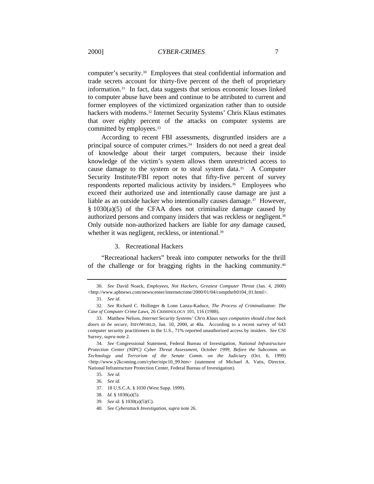computer's security.30 Employees that steal confidential information and trade secrets account for thirty-five percent of the theft of proprietary information.31 In fact, data suggests that serious economic losses linked to computer abuse have been and continue to be attributed to current and former employees of the victimized organization rather than to outside hackers with modems.<sup>32</sup> Internet Security Systems' Chris Klaus estimates that over eighty percent of the attacks on computer systems are committed by employees.<sup>33</sup>

According to recent FBI assessments, disgruntled insiders are a principal source of computer crimes.<sup>34</sup> Insiders do not need a great deal of knowledge about their target computers, because their inside knowledge of the victim's system allows them unrestricted access to cause damage to the system or to steal system data.35 A Computer Security Institute/FBI report notes that fifty-five percent of survey respondents reported malicious activity by insiders.<sup>36</sup> Employees who exceed their authorized use and intentionally cause damage are just a liable as an outside hacker who intentionally causes damage.37 However, § 1030(a)(5) of the CFAA does not criminalize damage caused by authorized persons and company insiders that was reckless or negligent.<sup>38</sup> Only outside non-authorized hackers are liable for *any* damage caused, whether it was negligent, reckless, or intentional.<sup>39</sup>

#### 3. Recreational Hackers

"Recreational hackers" break into computer networks for the thrill of the challenge or for bragging rights in the hacking community.<sup>40</sup>

<sup>30</sup>*. See* David Noack, *Employees, Not Hackers, Greatest Computer Threat* (Jan. 4, 2000) <http://www.apbnews.com/newscenter/internetcrime/2000/01/04/comptheft0104\_01.html>.

<sup>31</sup>*. See id*.

<sup>32</sup>*. See* Richard C. Hollinger & Lonn Lanza-Kaduce, *The Process of Criminalizaton: The Case of Computer Crime Laws,* 26 CRIMINOLOGY 101, 116 (1988).

<sup>33.</sup> Matthew Nelson, *Internet Security Systems' Chris Klaus says companies should close back doors to be secure,* INFOWORLD, Jan. 10, 2000, at 40a. According to a recent survey of 643 computer security practitioners in the U.S., 71% reported unauthorized access by insiders. *See* CSI Survey, *supra* note 2.

<sup>34</sup>*. See* Congressional Statement, Federal Bureau of Investigation, *National Infrastructure Protection Center (NIPC) Cyber Threat Assessment, October 1999, Before the Subcomm. on Technology and Terrorism of the Senate Comm. on the Judiciary* (Oct. 6, 1999) <http://www.y2kcoming.com/cyber/nipc10\_99.htm> (statement of Michael A. Vatis, Director, National Infrastructure Protection Center, Federal Bureau of Investigation).

<sup>35</sup>*. See id.*

<sup>36</sup>*. See id.*

<sup>37.</sup> 18 U.S.C.A. § 1030 (West Supp. 1999).

<sup>38</sup>*. Id.* § 1030(a)(5).

<sup>39</sup>*. See id.* § 1030(a)(5)(C).

<sup>40</sup>*. See Cyberattack Investigation, supra* note 26.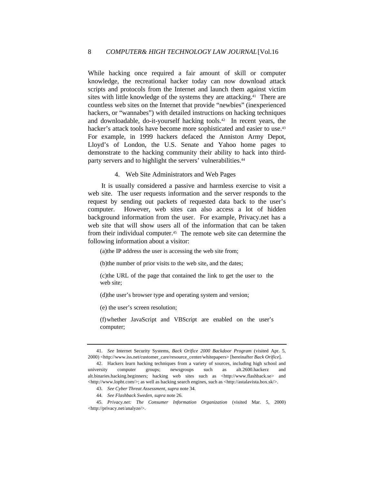While hacking once required a fair amount of skill or computer knowledge, the recreational hacker today can now download attack scripts and protocols from the Internet and launch them against victim sites with little knowledge of the systems they are attacking.<sup>41</sup> There are countless web sites on the Internet that provide "newbies" (inexperienced hackers, or "wannabes") with detailed instructions on hacking techniques and downloadable, do-it-yourself hacking tools.42 In recent years, the hacker's attack tools have become more sophisticated and easier to use.<sup>43</sup> For example, in 1999 hackers defaced the Anniston Army Depot, Lloyd's of London, the U.S. Senate and Yahoo home pages to demonstrate to the hacking community their ability to hack into thirdparty servers and to highlight the servers' vulnerabilities.<sup>44</sup>

#### 4. Web Site Administrators and Web Pages

It is usually considered a passive and harmless exercise to visit a web site. The user requests information and the server responds to the request by sending out packets of requested data back to the user's computer. However, web sites can also access a lot of hidden background information from the user. For example, Privacy.net has a web site that will show users all of the information that can be taken from their individual computer.45 The remote web site can determine the following information about a visitor:

(a)the IP address the user is accessing the web site from;

(b)the number of prior visits to the web site, and the dates;

(c)the URL of the page that contained the link to get the user to the web site;

(d)the user's browser type and operating system and version;

(e) the user's screen resolution;

(f)whether JavaScript and VBScript are enabled on the user's computer;

<sup>41</sup>*. See* Internet Security Systems, *Back Orifice 2000 Backdoor Program* (visited Apr. 5, 2000) <http://www.iss.net/customer\_care/resource\_center/whitepapers> [hereinafter *Back Orifice*].

<sup>42.</sup> Hackers learn hacking techniques from a variety of sources, including high school and university computer groups; newsgroups such as alt.2600.hackerz and alt.binaries.hacking.beginners; hacking web sites such as <http://www.flashback.se> and <http://www.lopht.com/>; as well as hacking search engines, such as <http://astalavista.box.sk/>.

<sup>43</sup>*. See Cyber Threat Assessment, supra* note 34.

<sup>44</sup>*. See Flashback Sweden, supra* note 26.

<sup>45</sup>*. Privacy.net: The Consumer Information Organization* (visited Mar. 5, 2000) <http://privacy.net/analyze/>.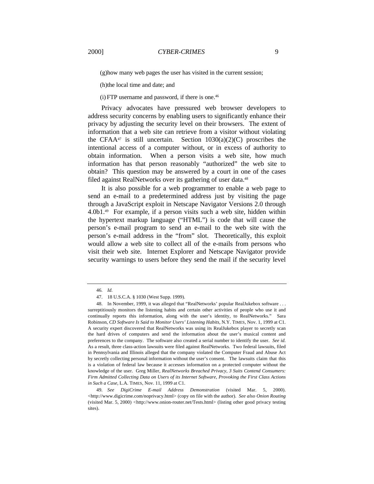(g)how many web pages the user has visited in the current session;

(h)the local time and date; and

 $(i)$  FTP username and password, if there is one.<sup>46</sup>

Privacy advocates have pressured web browser developers to address security concerns by enabling users to significantly enhance their privacy by adjusting the security level on their browsers. The extent of information that a web site can retrieve from a visitor without violating the CFAA<sup>47</sup> is still uncertain. Section  $1030(a)(2)(C)$  proscribes the intentional access of a computer without, or in excess of authority to obtain information. When a person visits a web site, how much information has that person reasonably "authorized" the web site to obtain? This question may be answered by a court in one of the cases filed against RealNetworks over its gathering of user data.<sup>48</sup>

It is also possible for a web programmer to enable a web page to send an e-mail to a predetermined address just by visiting the page through a JavaScript exploit in Netscape Navigator Versions 2.0 through 4.0b1.49 For example, if a person visits such a web site, hidden within the hypertext markup language ("HTML") is code that will cause the person's e-mail program to send an e-mail to the web site with the person's e-mail address in the "from" slot. Theoretically, this exploit would allow a web site to collect all of the e-mails from persons who visit their web site. Internet Explorer and Netscape Navigator provide security warnings to users before they send the mail if the security level

<sup>46</sup>*. Id.*

<sup>47.</sup> 18 U.S.C.A. § 1030 (West Supp. 1999).

<sup>48.</sup> In November, 1999, it was alleged that "RealNetworks' popular RealJukebox software . . . surreptitiously monitors the listening habits and certain other activities of people who use it and continually reports this information, along with the user's identity, to RealNetworks." Sara Robinson, *CD Software Is Said to Monitor Users' Listening Habits*, N.Y. TIMES, Nov. 1, 1999 at C1. A security expert discovered that RealNetworks was using its RealJukebox player to secretly scan the hard drives of computers and send the information about the user's musical content and preferences to the company. The software also created a serial number to identify the user. *See id.* As a result, three class-action lawsuits were filed against RealNetworks. Two federal lawsuits, filed in Pennsylvania and Illinois alleged that the company violated the Computer Fraud and Abuse Act by secretly collecting personal information without the user's consent. The lawsuits claim that this is a violation of federal law because it accesses information on a protected computer without the knowledge of the user. Greg Miller, *RealNetworks Breached Privacy, 3 Suits Contend Consumers: Firm Admitted Collecting Data on Users of its Internet Software, Provoking the First Class Actions in Such a Case*, L.A. TIMES, Nov. 11, 1999 at C1.

<sup>49</sup>*. See DigiCrime E-mail Address Demonstration* (visited Mar. 5, 2000). <http://www.digicrime.com/noprivacy.html> (copy on file with the author). *See also Onion Routing* (visited Mar. 5, 2000) *<*http://www.onion-router.net/Tests.html> (listing other good privacy testing sites).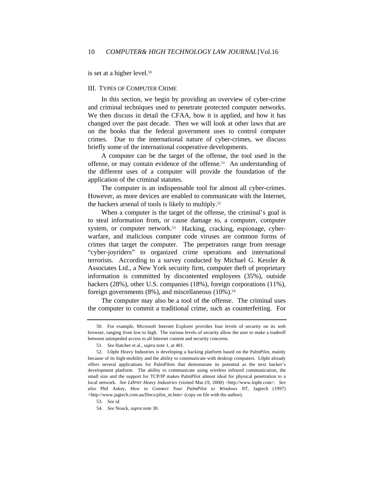is set at a higher level.<sup>50</sup>

#### III. TYPES OF COMPUTER CRIME

In this section, we begin by providing an overview of cyber-crime and criminal techniques used to penetrate protected computer networks. We then discuss in detail the CFAA, how it is applied, and how it has changed over the past decade. Then we will look at other laws that are on the books that the federal government uses to control computer crimes. Due to the international nature of cyber-crimes, we discuss briefly some of the international cooperative developments.

A computer can be the target of the offense, the tool used in the offense, or may contain evidence of the offense.<sup>51</sup> An understanding of the different uses of a computer will provide the foundation of the application of the criminal statutes.

The computer is an indispensable tool for almost all cyber-crimes. However, as more devices are enabled to communicate with the Internet, the hackers arsenal of tools is likely to multiply.<sup>52</sup>

When a computer is the target of the offense, the criminal's goal is to steal information from, or cause damage to, a computer, computer system, or computer network.<sup>53</sup> Hacking, cracking, espionage, cyberwarfare, and malicious computer code viruses are common forms of crimes that target the computer. The perpetrators range from teenage "cyber-joyriders" to organized crime operations and international terrorists. According to a survey conducted by Michael G. Kessler & Associates Ltd., a New York security firm, computer theft of proprietary information is committed by discontented employees (35%), outside hackers (28%), other U.S. companies (18%), foreign corporations (11%), foreign governments  $(8\%)$ , and miscellaneous  $(10\%)$ .<sup>54</sup>

The computer may also be a tool of the offense. The criminal uses the computer to commit a traditional crime, such as counterfeiting. For

<sup>50.</sup> For example, Microsoft Internet Explorer provides four levels of security on its web browser, ranging from low to high. The various levels of security allow the user to make a tradeoff between unimpeded access to all Internet content and security concerns.

<sup>51</sup>*. See* Hatcher et al., *supra* note 1, at 401.

<sup>52.</sup> L0pht Heavy Industries is developing a hacking platform based on the PalmPilot, mainly because of its high-mobility and the ability to communicate with desktop computers. L0pht already offers several applications for PalmPilots that demonstrate its potential as the next hacker's development platform. The ability to communicate using wireless infrared communication, the small size and the support for TCP/IP makes PalmPilot almost ideal for physical penetration to a local network. *See LØPHT Heavy Industries* (visited Mar.19, 2000) <http://www.lopht.com>. *See also* Phil Askey, *How to Connect Your PalmPilot to Windows NT*, Jagtech (1997) <http://www.jagtech.com.au/Docs/pilot\_nt.htm> (copy on file with the author).

<sup>53</sup>*. See id.*

<sup>54</sup>*. See* Noack, *supra* note 30.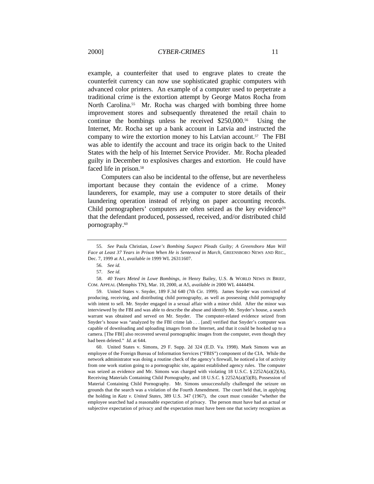example, a counterfeiter that used to engrave plates to create the counterfeit currency can now use sophisticated graphic computers with advanced color printers. An example of a computer used to perpetrate a traditional crime is the extortion attempt by George Matos Rocha from North Carolina.<sup>55</sup> Mr. Rocha was charged with bombing three home improvement stores and subsequently threatened the retail chain to continue the bombings unless he received \$250,000.56 Using the Internet, Mr. Rocha set up a bank account in Latvia and instructed the company to wire the extortion money to his Latvian account.<sup>57</sup> The FBI was able to identify the account and trace its origin back to the United States with the help of his Internet Service Provider. Mr. Rocha pleaded guilty in December to explosives charges and extortion. He could have faced life in prison.<sup>58</sup>

Computers can also be incidental to the offense, but are nevertheless important because they contain the evidence of a crime. Money launderers, for example, may use a computer to store details of their laundering operation instead of relying on paper accounting records. Child pornographers' computers are often seized as the key evidence<sup>59</sup> that the defendant produced, possessed, received, and/or distributed child pornography.<sup>60</sup>

59. United States v. Snyder, 189 F.3d 640 (7th Cir. 1999). James Snyder was convicted of producing, receiving, and distributing child pornography, as well as possessing child pornography with intent to sell. Mr. Snyder engaged in a sexual affair with a minor child. After the minor was interviewed by the FBI and was able to describe the abuse and identify Mr. Snyder's house, a search warrant was obtained and served on Mr. Snyder. The computer-related evidence seized from Snyder's house was "analyzed by the FBI crime lab . . . [and] verified that Snyder's computer was capable of downloading and uploading images from the Internet, and that it could be hooked up to a camera. [The FBI] also recovered several pornographic images from the computer, even though they had been deleted." *Id*. at 644.

60. United States v. Simons, 29 F. Supp. 2d 324 (E.D. Va. 1998). Mark Simons was an employee of the Foreign Bureau of Information Services ("FBIS") component of the CIA. While the network administrator was doing a routine check of the agency's firewall, he noticed a lot of activity from one work station going to a pornographic site, against established agency rules. The computer was seized as evidence and Mr. Simons was charged with violating 18 U.S.C.  $\S 2252A(a)(2)(A)$ , Receiving Materials Containing Child Pornography, and 18 U.S.C. § 2252A(a)(5)(B), Possession of Material Containing Child Pornography. Mr. Simons unsuccessfully challenged the seizure on grounds that the search was a violation of the Fourth Amendment. The court held that, in applying the holding in *Katz v. United States*, 389 U.S. 347 (1967), the court must consider "whether the employee searched had a reasonable expectation of privacy. The person must have had an actual or subjective expectation of privacy and the expectation must have been one that society recognizes as

<sup>55</sup>*. See* Paula Christian, *Lowe's Bombing Suspect Pleads Guilty; A Greensboro Man Will Face at Least 37 Years in Prison When He is Sentenced in March*, GREENSBORO NEWS AND REC., Dec. 7, 1999 at A1, *available in* 1999 WL 26311607.

<sup>56</sup>*. See id.*

<sup>57</sup>*. See id.*

<sup>58</sup>*. 40 Years Meted in Lowe Bombings*, *in* Henry Bailey, U.S. & WORLD NEWS IN BRIEF, COM. APPEAL (Memphis TN), Mar. 10, 2000, at A5, *available in* 2000 WL 4444494.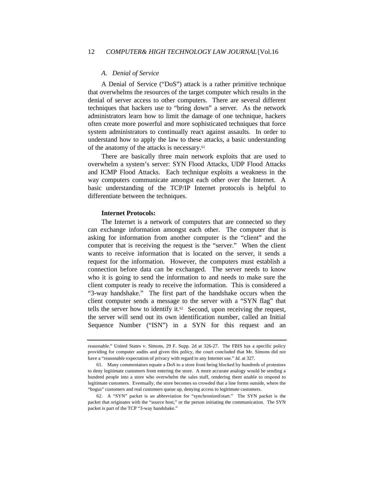#### *A. Denial of Service*

A Denial of Service ("DoS") attack is a rather primitive technique that overwhelms the resources of the target computer which results in the denial of server access to other computers. There are several different techniques that hackers use to "bring down" a server. As the network administrators learn how to limit the damage of one technique, hackers often create more powerful and more sophisticated techniques that force system administrators to continually react against assaults. In order to understand how to apply the law to these attacks, a basic understanding of the anatomy of the attacks is necessary.<sup>61</sup>

There are basically three main network exploits that are used to overwhelm a system's server: SYN Flood Attacks, UDP Flood Attacks and ICMP Flood Attacks. Each technique exploits a weakness in the way computers communicate amongst each other over the Internet. A basic understanding of the TCP/IP Internet protocols is helpful to differentiate between the techniques.

#### **Internet Protocols:**

The Internet is a network of computers that are connected so they can exchange information amongst each other. The computer that is asking for information from another computer is the "client" and the computer that is receiving the request is the "server." When the client wants to receive information that is located on the server, it sends a request for the information. However, the computers must establish a connection before data can be exchanged. The server needs to know who it is going to send the information to and needs to make sure the client computer is ready to receive the information. This is considered a "3-way handshake." The first part of the handshake occurs when the client computer sends a message to the server with a "SYN flag" that tells the server how to identify it.<sup>62</sup> Second, upon receiving the request, the server will send out its own identification number, called an Initial Sequence Number ("ISN") in a SYN for this request and an

reasonable." United States v. Simons, 29 F. Supp. 2d at 326-27. The FBIS has a specific policy providing for computer audits and given this policy, the court concluded that Mr. Simons did not have a "reasonable expectation of privacy with regard to any Internet use." *Id*. at 327.

<sup>61.</sup> Many commentators equate a DoS to a store front being blocked by hundreds of protestors to deny legitimate customers from entering the store. A more accurate analogy would be sending a hundred people into a store who overwhelm the sales staff, rendering them unable to respond to legitimate customers. Eventually, the store becomes so crowded that a line forms outside, where the "bogus" customers and real customers queue up, denying access to legitimate customers.

<sup>62.</sup> A "SYN" packet is an abbreviation for "synchronized/start." The SYN packet is the packet that originates with the "source host," or the person initiating the communication. The SYN packet is part of the TCP "3-way handshake."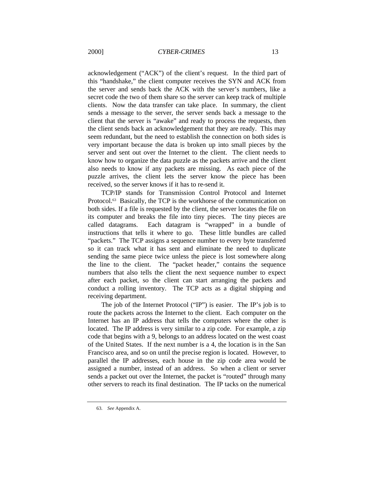acknowledgement ("ACK") of the client's request. In the third part of this "handshake," the client computer receives the SYN and ACK from the server and sends back the ACK with the server's numbers, like a secret code the two of them share so the server can keep track of multiple clients. Now the data transfer can take place. In summary, the client sends a message to the server, the server sends back a message to the client that the server is "awake" and ready to process the requests, then the client sends back an acknowledgement that they are ready. This may seem redundant, but the need to establish the connection on both sides is very important because the data is broken up into small pieces by the server and sent out over the Internet to the client. The client needs to know how to organize the data puzzle as the packets arrive and the client also needs to know if any packets are missing. As each piece of the puzzle arrives, the client lets the server know the piece has been received, so the server knows if it has to re-send it.

TCP/IP stands for Transmission Control Protocol and Internet Protocol.<sup>63</sup> Basically, the TCP is the workhorse of the communication on both sides. If a file is requested by the client, the server locates the file on its computer and breaks the file into tiny pieces. The tiny pieces are called datagrams. Each datagram is "wrapped" in a bundle of instructions that tells it where to go. These little bundles are called "packets." The TCP assigns a sequence number to every byte transferred so it can track what it has sent and eliminate the need to duplicate sending the same piece twice unless the piece is lost somewhere along the line to the client. The "packet header," contains the sequence numbers that also tells the client the next sequence number to expect after each packet, so the client can start arranging the packets and conduct a rolling inventory. The TCP acts as a digital shipping and receiving department.

The job of the Internet Protocol ("IP") is easier. The IP's job is to route the packets across the Internet to the client. Each computer on the Internet has an IP address that tells the computers where the other is located. The IP address is very similar to a zip code. For example, a zip code that begins with a 9, belongs to an address located on the west coast of the United States. If the next number is a 4, the location is in the San Francisco area, and so on until the precise region is located. However, to parallel the IP addresses, each house in the zip code area would be assigned a number, instead of an address. So when a client or server sends a packet out over the Internet, the packet is "routed" through many other servers to reach its final destination. The IP tacks on the numerical

<sup>63</sup>*. See* Appendix A.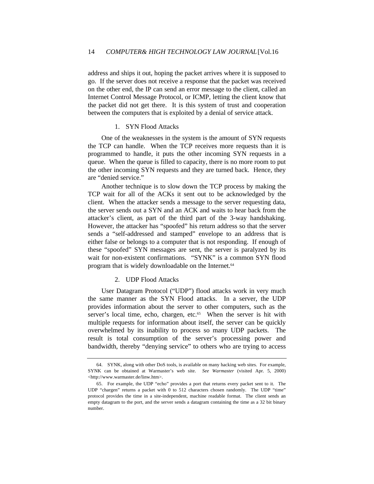address and ships it out, hoping the packet arrives where it is supposed to go. If the server does not receive a response that the packet was received on the other end, the IP can send an error message to the client, called an Internet Control Message Protocol, or ICMP, letting the client know that the packet did not get there. It is this system of trust and cooperation between the computers that is exploited by a denial of service attack.

## 1. SYN Flood Attacks

One of the weaknesses in the system is the amount of SYN requests the TCP can handle. When the TCP receives more requests than it is programmed to handle, it puts the other incoming SYN requests in a queue. When the queue is filled to capacity, there is no more room to put the other incoming SYN requests and they are turned back. Hence, they are "denied service."

Another technique is to slow down the TCP process by making the TCP wait for all of the ACKs it sent out to be acknowledged by the client. When the attacker sends a message to the server requesting data, the server sends out a SYN and an ACK and waits to hear back from the attacker's client, as part of the third part of the 3-way handshaking. However, the attacker has "spoofed" his return address so that the server sends a "self-addressed and stamped" envelope to an address that is either false or belongs to a computer that is not responding. If enough of these "spoofed" SYN messages are sent, the server is paralyzed by its wait for non-existent confirmations. "SYNK" is a common SYN flood program that is widely downloadable on the Internet.<sup>64</sup>

#### 2. UDP Flood Attacks

User Datagram Protocol ("UDP") flood attacks work in very much the same manner as the SYN Flood attacks. In a server, the UDP provides information about the server to other computers, such as the server's local time, echo, chargen, etc.<sup>65</sup> When the server is hit with multiple requests for information about itself, the server can be quickly overwhelmed by its inability to process so many UDP packets. The result is total consumption of the server's processing power and bandwidth, thereby "denying service" to others who are trying to access

<sup>64.</sup> SYNK, along with other DoS tools, is available on many hacking web sites. For example, SYNK can be obtained at Warmaster's web site. *See Warmaster* (visited Apr. 5, 2000) <http://www.warmaster.de/linw.htm>.

<sup>65.</sup> For example, the UDP "echo" provides a port that returns every packet sent to it. The UDP "chargen" returns a packet with 0 to 512 characters chosen randomly. The UDP "time" protocol provides the time in a site-independent, machine readable format. The client sends an empty datagram to the port, and the server sends a datagram containing the time as a 32 bit binary number.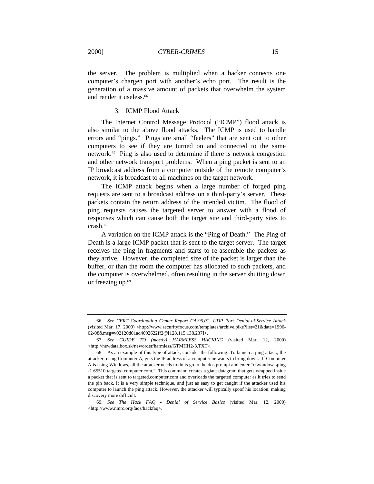the server. The problem is multiplied when a hacker connects one computer's chargen port with another's echo port. The result is the generation of a massive amount of packets that overwhelm the system and render it useless.<sup>66</sup>

## 3. ICMP Flood Attack

The Internet Control Message Protocol ("ICMP") flood attack is also similar to the above flood attacks. The ICMP is used to handle errors and "pings." Pings are small "feelers" that are sent out to other computers to see if they are turned on and connected to the same network.67 Ping is also used to determine if there is network congestion and other network transport problems. When a ping packet is sent to an IP broadcast address from a computer outside of the remote computer's network, it is broadcast to all machines on the target network.

The ICMP attack begins when a large number of forged ping requests are sent to a broadcast address on a third-party's server. These packets contain the return address of the intended victim. The flood of ping requests causes the targeted server to answer with a flood of responses which can cause both the target site and third-party sites to crash.<sup>68</sup>

A variation on the ICMP attack is the "Ping of Death." The Ping of Death is a large ICMP packet that is sent to the target server. The target receives the ping in fragments and starts to re-assemble the packets as they arrive. However, the completed size of the packet is larger than the buffer, or than the room the computer has allocated to such packets, and the computer is overwhelmed, often resulting in the server shutting down or freezing up.<sup>69</sup>

<sup>66</sup>*. See CERT Coordination Center Report CA-96.01: UDP Port Denial-of-Service Attack* (visited Mar. 17, 2000) <http://www.securityfocus.com/templates/archive.pike?list=21&date=1996- 02-08&msg=v02120d01ad4092622ff2@[128.115.138.237]>.

<sup>67</sup>*. See GUIDE TO (mostly) HARMLESS HACKING* (visited Mar. 12, 2000) <http://newdata.box.sk/neworder/harmless/GTMHH2-3.TXT>.

<sup>68.</sup> As an example of this type of attack, consider the following: To launch a ping attack, the attacker, using Computer A, gets the IP address of a computer he wants to bring down. If Computer A is using Windows, all the attacker needs to do is go to the dos prompt and enter "c:\windows\ping -1 65510 targeted.computer.com." This command creates a giant datagram that gets wrapped inside a packet that is sent to targeted.computer.com and overloads the targeted computer as it tries to send the pin back. It is a very simple technique, and just as easy to get caught if the attacker used his computer to launch the ping attack. However, the attacker will typically spoof his location, making discovery more difficult.

<sup>69</sup>*. See The Hack FAQ - Denial of Service Basics* (visited Mar. 12, 2000) <http://www.nmrc.org/faqs/hackfaq>.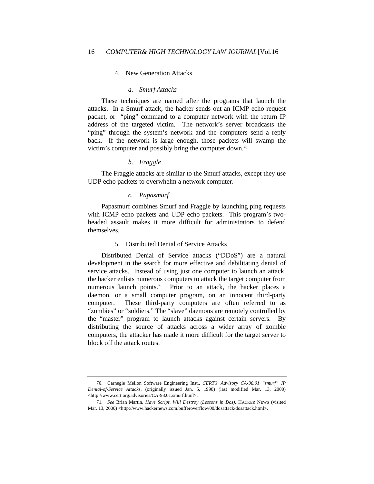## 4. New Generation Attacks

#### *a. Smurf Attacks*

These techniques are named after the programs that launch the attacks. In a Smurf attack, the hacker sends out an ICMP echo request packet, or "ping" command to a computer network with the return IP address of the targeted victim. The network's server broadcasts the "ping" through the system's network and the computers send a reply back. If the network is large enough, those packets will swamp the victim's computer and possibly bring the computer down.<sup>70</sup>

### *b. Fraggle*

The Fraggle attacks are similar to the Smurf attacks, except they use UDP echo packets to overwhelm a network computer.

## *c. Papasmurf*

Papasmurf combines Smurf and Fraggle by launching ping requests with ICMP echo packets and UDP echo packets. This program's twoheaded assault makes it more difficult for administrators to defend themselves.

## 5. Distributed Denial of Service Attacks

Distributed Denial of Service attacks ("DDoS") are a natural development in the search for more effective and debilitating denial of service attacks. Instead of using just one computer to launch an attack, the hacker enlists numerous computers to attack the target computer from numerous launch points.<sup>71</sup> Prior to an attack, the hacker places a daemon, or a small computer program, on an innocent third-party computer. These third-party computers are often referred to as "zombies" or "soldiers." The "slave" daemons are remotely controlled by the "master" program to launch attacks against certain servers. By distributing the source of attacks across a wider array of zombie computers, the attacker has made it more difficult for the target server to block off the attack routes.

<sup>70.</sup> Carnegie Mellon Software Engineering Inst., *CERT® Advisory CA-98.01 "smurf" IP Denial-of-Service Attacks*, (originally issued Jan. 5, 1998) (last modified Mar. 13, 2000) <http://www.cert.org/advisories/CA-98.01.smurf.html>.

<sup>71</sup>*. See* Brian Martin, *Have Script, Will Destroy (Lessons in Dos)*, HACKER NEWS (visited Mar. 13, 2000) <http://www.hackernews.com.bufferoverflow/00/dosattack/dosattack.html>.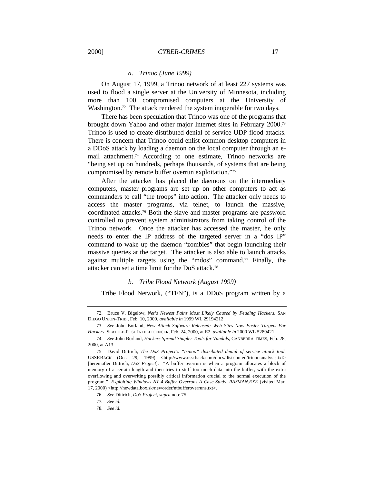#### *a. Trinoo (June 1999)*

On August 17, 1999, a Trinoo network of at least 227 systems was used to flood a single server at the University of Minnesota, including more than 100 compromised computers at the University of Washington.<sup>72</sup> The attack rendered the system inoperable for two days.

There has been speculation that Trinoo was one of the programs that brought down Yahoo and other major Internet sites in February 2000.<sup>73</sup> Trinoo is used to create distributed denial of service UDP flood attacks. There is concern that Trinoo could enlist common desktop computers in a DDoS attack by loading a daemon on the local computer through an email attachment.74 According to one estimate, Trinoo networks are "being set up on hundreds, perhaps thousands, of systems that are being compromised by remote buffer overrun exploitation."<sup>75</sup>

After the attacker has placed the daemons on the intermediary computers, master programs are set up on other computers to act as commanders to call "the troops" into action. The attacker only needs to access the master programs, via telnet, to launch the massive, coordinated attacks.76 Both the slave and master programs are password controlled to prevent system administrators from taking control of the Trinoo network. Once the attacker has accessed the master, he only needs to enter the IP address of the targeted server in a "dos IP" command to wake up the daemon "zombies" that begin launching their massive queries at the target. The attacker is also able to launch attacks against multiple targets using the "mdos" command.77 Finally, the attacker can set a time limit for the DoS attack.<sup>78</sup>

#### *b. Tribe Flood Network (August 1999)*

Tribe Flood Network, ("TFN"), is a DDoS program written by a

<sup>72.</sup> Bruce V. Bigelow, *Net's Newest Pains Most Likely Caused by Feuding Hackers,* SAN DIEGO UNION-TRIB., Feb. 10, 2000, *available in* 1999 WL 29194212.

<sup>73</sup>*. See* John Borland, *New Attack Software Released; Web Sites Now Easier Targets For Hackers*, SEATTLE-POST INTELLIGENCER, Feb. 24, 2000, at E2, *available in* 2000 WL 5289421.

<sup>74</sup>*. See* John Borland, *Hackers Spread Simpler Tools for Vandals*, CANBERRA TIMES, Feb. 28, 2000, at A13.

<sup>75.</sup> David Dittrich, *The DoS Project's "trinoo" distributed denial of service attack tool*, USSRBACK (Oct. 29, 1999) <http://www.ussrback.com/docs/distributed/trinoo.analysis.txt> [hereinafter Dittrich, *DoS Project*]. "A buffer overrun is when a program allocates a block of memory of a certain length and then tries to stuff too much data into the buffer, with the extra overflowing and overwriting possibly critical information crucial to the normal execution of the program." *Exploiting Windows NT 4 Buffer Overruns A Case Study*, *RASMAN.EXE* (visited Mar. 17, 2000) <http://newdata.box.sk/neworder/ntbufferoverruns.txt>.

<sup>76</sup>*. See* Dittrich, *DoS Project*, *supra* note 75.

<sup>77</sup>*. See id.*

<sup>78</sup>*. See id.*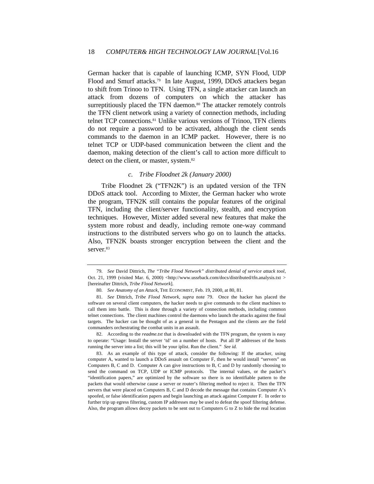German hacker that is capable of launching ICMP, SYN Flood, UDP Flood and Smurf attacks.<sup>79</sup> In late August, 1999, DDoS attackers began to shift from Trinoo to TFN. Using TFN, a single attacker can launch an attack from dozens of computers on which the attacker has surreptitiously placed the TFN daemon.<sup>80</sup> The attacker remotely controls the TFN client network using a variety of connection methods, including telnet TCP connections.81 Unlike various versions of Trinoo, TFN clients do not require a password to be activated, although the client sends commands to the daemon in an ICMP packet. However, there is no telnet TCP or UDP-based communication between the client and the daemon, making detection of the client's call to action more difficult to detect on the client, or master, system.<sup>82</sup>

## *c. Tribe Floodnet 2k (January 2000)*

Tribe Floodnet 2k ("TFN2K") is an updated version of the TFN DDoS attack tool. According to Mixter, the German hacker who wrote the program, TFN2K still contains the popular features of the original TFN, including the client/server functionality, stealth, and encryption techniques. However, Mixter added several new features that make the system more robust and deadly, including remote one-way command instructions to the distributed servers who go on to launch the attacks. Also, TFN2K boasts stronger encryption between the client and the server.83

82. According to the *readme.txt* that is downloaded with the TFN program, the system is easy to operate: "Usage: Install the server 'td' on a number of hosts. Put all IP addresses of the hosts running the server into a list; this will be your iplist. Run the client." *See id.*

83. As an example of this type of attack, consider the following: If the attacker, using computer A, wanted to launch a DDoS assault on Computer F, then he would install "servers" on Computers B, C and D. Computer A can give instructions to B, C and D by randomly choosing to send the command on TCP, UDP or ICMP protocols. The internal values, or the packet's "identification papers," are optimized by the software so there is no identifiable pattern to the packets that would otherwise cause a server or router's filtering method to reject it. Then the TFN servers that were placed on Computers B, C and D decode the message that contains Computer A's spoofed, or false identification papers and begin launching an attack against Computer F. In order to further trip up egress filtering, custom IP addresses may be used to defeat the spoof filtering defense. Also, the program allows decoy packets to be sent out to Computers G to Z to hide the real location

<sup>79</sup>*. See* David Dittrich, *The "Tribe Flood Network" distributed denial of service attack tool*, Oct. 21, 1999 (visited Mar. 6, 2000) <http://www.ussrback.com/docs/distributed/tfn.analysis.txt > [hereinafter Dittrich, *Tribe Flood Network*].

<sup>80</sup>*. See Anatomy of an Attack*, THE ECONOMIST, Feb. 19, 2000, at 80, 81.

<sup>81</sup>*. See* Dittrich, *Tribe Flood Network, supra* note 79. Once the hacker has placed the software on several client computers, the hacker needs to give commands to the client machines to call them into battle. This is done through a variety of connection methods, including common telnet connections. The client machines control the daemons who launch the attacks against the final targets. The hacker can be thought of as a general in the Pentagon and the clients are the field commanders orchestrating the combat units in an assault.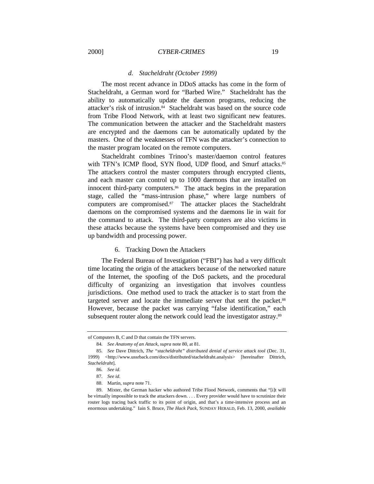#### *d. Stacheldraht (October 1999)*

The most recent advance in DDoS attacks has come in the form of Stacheldraht, a German word for "Barbed Wire." Stacheldraht has the ability to automatically update the daemon programs, reducing the attacker's risk of intrusion.84 Stacheldraht was based on the source code from Tribe Flood Network, with at least two significant new features. The communication between the attacker and the Stacheldraht masters are encrypted and the daemons can be automatically updated by the masters. One of the weaknesses of TFN was the attacker's connection to the master program located on the remote computers.

Stacheldraht combines Trinoo's master/daemon control features with TFN's ICMP flood, SYN flood, UDP flood, and Smurf attacks.<sup>85</sup> The attackers control the master computers through encrypted clients, and each master can control up to 1000 daemons that are installed on innocent third-party computers.<sup>86</sup> The attack begins in the preparation stage, called the "mass-intrusion phase," where large numbers of computers are compromised.87 The attacker places the Stacheldraht daemons on the compromised systems and the daemons lie in wait for the command to attack. The third-party computers are also victims in these attacks because the systems have been compromised and they use up bandwidth and processing power.

#### 6. Tracking Down the Attackers

The Federal Bureau of Investigation ("FBI") has had a very difficult time locating the origin of the attackers because of the networked nature of the Internet, the spoofing of the DoS packets, and the procedural difficulty of organizing an investigation that involves countless jurisdictions. One method used to track the attacker is to start from the targeted server and locate the immediate server that sent the packet.<sup>88</sup> However, because the packet was carrying "false identification," each subsequent router along the network could lead the investigator astray.<sup>89</sup>

of Computers B, C and D that contain the TFN servers.

<sup>84</sup>*. See Anatomy of an Attack*, *supra* note 80, at 81.

<sup>85</sup>*. See* Dave Dittrich, *The "stacheldraht" distributed denial of service attack tool* (Dec. 31, 1999) <http://www.ussrback.com/docs/distributed/stacheldraht.analysis> [hereinafter Dittrich, *Stacheldraht*].

<sup>86</sup>*. See id.*

<sup>87</sup>*. See id.*

<sup>88.</sup> Martin, *supra* note 71.

<sup>89.</sup> Mixter, the German hacker who authored Tribe Flood Network, comments that "[i]t will be virtually impossible to track the attackers down. . . . Every provider would have to scrutinize their router logs tracing back traffic to its point of origin, and that's a time-intensive process and an enormous undertaking." Iain S. Bruce, *The Hack Pack,* SUNDAY HERALD, Feb. 13, 2000, *available*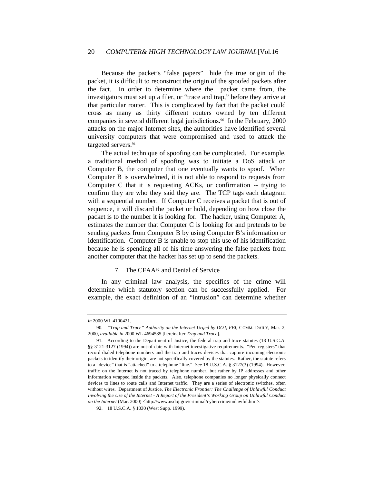## 20 *COMPUTER& HIGH TECHNOLOGY LAW JOURNAL*[Vol.16

Because the packet's "false papers" hide the true origin of the packet, it is difficult to reconstruct the origin of the spoofed packets after the fact. In order to determine where the packet came from, the investigators must set up a filer, or "trace and trap," before they arrive at that particular router. This is complicated by fact that the packet could cross as many as thirty different routers owned by ten different companies in several different legal jurisdictions.<sup>90</sup> In the February, 2000 attacks on the major Internet sites, the authorities have identified several university computers that were compromised and used to attack the targeted servers.<sup>91</sup>

The actual technique of spoofing can be complicated. For example, a traditional method of spoofing was to initiate a DoS attack on Computer B, the computer that one eventually wants to spoof. When Computer B is overwhelmed, it is not able to respond to requests from Computer C that it is requesting ACKs, or confirmation -- trying to confirm they are who they said they are. The TCP tags each datagram with a sequential number. If Computer C receives a packet that is out of sequence, it will discard the packet or hold, depending on how close the packet is to the number it is looking for. The hacker, using Computer A, estimates the number that Computer C is looking for and pretends to be sending packets from Computer B by using Computer B's information or identification. Computer B is unable to stop this use of his identification because he is spending all of his time answering the false packets from another computer that the hacker has set up to send the packets.

## 7. The CFAA92 and Denial of Service

In any criminal law analysis, the specifics of the crime will determine which statutory section can be successfully applied. For example, the exact definition of an "intrusion" can determine whether

*in* 2000 WL 4100421.

<sup>90</sup>*. "Trap and Trace" Authority on the Internet Urged by DOJ*, *FBI*, COMM. DAILY, Mar. 2, 2000, *available in* 2000 WL 4694585 [hereinafter *Trap and Trace*].

<sup>91.</sup> According to the Department of Justice, the federal trap and trace statutes (18 U.S.C.A. §§ 3121-3127 (1994)) are out-of-date with Internet investigative requirements. "Pen registers" that record dialed telephone numbers and the trap and traces devices that capture incoming electronic packets to identify their origin, are not specifically covered by the statutes. Rather, the statute refers to a "device" that is "attached" to a telephone "line." *See* 18 U.S.C.A. § 3127(3) (1994). However, traffic on the Internet is not traced by telephone number, but rather by IP addresses and other information wrapped inside the packets. Also, telephone companies no longer physically connect devices to lines to route calls and Internet traffic. They are a series of electronic switches, often without wires. Department of Justice, *The Electronic Frontier: The Challenge of Unlawful Conduct Involving the Use of the Internet - A Report of the President's Working Group on Unlawful Conduct on the Internet* (Mar. 2000) <http://www.usdoj.gov/criminal/cybercrime/unlawful.htm>.

<sup>92.</sup> 18 U.S.C.A. § 1030 (West Supp. 1999).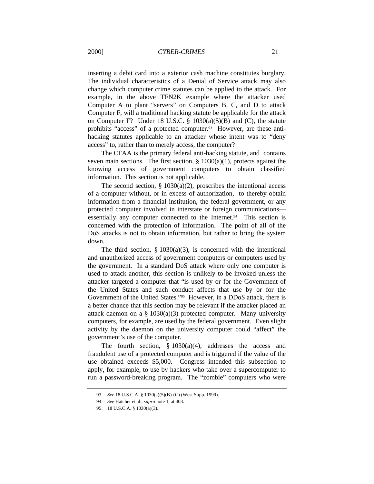inserting a debit card into a exterior cash machine constitutes burglary. The individual characteristics of a Denial of Service attack may also change which computer crime statutes can be applied to the attack. For example, in the above TFN2K example where the attacker used Computer A to plant "servers" on Computers B, C, and D to attack Computer F, will a traditional hacking statute be applicable for the attack on Computer F? Under 18 U.S.C. § 1030(a)(5)(B) and (C), the statute prohibits "access" of a protected computer.<sup>93</sup> However, are these antihacking statutes applicable to an attacker whose intent was to "deny access" to, rather than to merely access, the computer?

The CFAA is the primary federal anti-hacking statute, and contains seven main sections. The first section,  $\S$  1030(a)(1), protects against the knowing access of government computers to obtain classified information. This section is not applicable.

The second section,  $\S 1030(a)(2)$ , proscribes the intentional access of a computer without, or in excess of authorization, to thereby obtain information from a financial institution, the federal government, or any protected computer involved in interstate or foreign communications essentially any computer connected to the Internet.<sup>94</sup> This section is concerned with the protection of information. The point of all of the DoS attacks is not to obtain information, but rather to bring the system down.

The third section,  $\S 1030(a)(3)$ , is concerned with the intentional and unauthorized access of government computers or computers used by the government. In a standard DoS attack where only one computer is used to attack another, this section is unlikely to be invoked unless the attacker targeted a computer that "is used by or for the Government of the United States and such conduct affects that use by or for the Government of the United States."95 However, in a DDoS attack, there is a better chance that this section may be relevant if the attacker placed an attack daemon on a  $\S 1030(a)(3)$  protected computer. Many university computers, for example, are used by the federal government. Even slight activity by the daemon on the university computer could "affect" the government's use of the computer.

The fourth section,  $\S 1030(a)(4)$ , addresses the access and fraudulent use of a protected computer and is triggered if the value of the use obtained exceeds \$5,000. Congress intended this subsection to apply, for example, to use by hackers who take over a supercomputer to run a password-breaking program. The "zombie" computers who were

<sup>93</sup>*. See* 18 U.S.C.A. § 1030(a)(5)(B)-(C) (West Supp. 1999).

<sup>94</sup>*. See* Hatcher et al., *supra* note 1, at 403.

<sup>95.</sup> 18 U.S.C.A. § 1030(a)(3).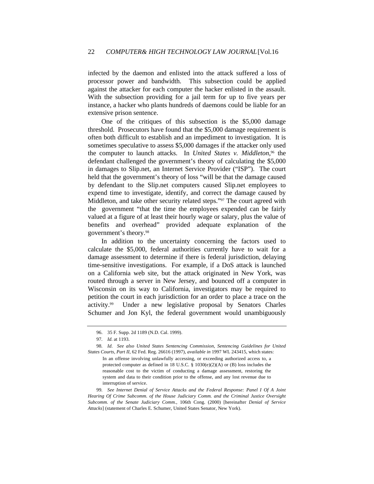infected by the daemon and enlisted into the attack suffered a loss of processor power and bandwidth. This subsection could be applied against the attacker for each computer the hacker enlisted in the assault. With the subsection providing for a jail term for up to five years per instance, a hacker who plants hundreds of daemons could be liable for an extensive prison sentence.

One of the critiques of this subsection is the \$5,000 damage threshold. Prosecutors have found that the \$5,000 damage requirement is often both difficult to establish and an impediment to investigation. It is sometimes speculative to assess \$5,000 damages if the attacker only used the computer to launch attacks. In *United States v. Middleton*, <sup>96</sup> the defendant challenged the government's theory of calculating the \$5,000 in damages to Slip.net, an Internet Service Provider ("ISP"). The court held that the government's theory of loss "will be that the damage caused by defendant to the Slip.net computers caused Slip.net employees to expend time to investigate, identify, and correct the damage caused by Middleton, and take other security related steps."97 The court agreed with the government "that the time the employees expended can be fairly valued at a figure of at least their hourly wage or salary, plus the value of benefits and overhead" provided adequate explanation of the government's theory.<sup>98</sup>

In addition to the uncertainty concerning the factors used to calculate the \$5,000, federal authorities currently have to wait for a damage assessment to determine if there is federal jurisdiction, delaying time-sensitive investigations. For example, if a DoS attack is launched on a California web site, but the attack originated in New York, was routed through a server in New Jersey, and bounced off a computer in Wisconsin on its way to California, investigators may be required to petition the court in each jurisdiction for an order to place a trace on the activity.99 Under a new legislative proposal by Senators Charles Schumer and Jon Kyl, the federal government would unambiguously

99*. See Internet Denial of Service Attacks and the Federal Response: Panel I Of A Joint Hearing Of Crime Subcomm. of the House Judiciary Comm. and the Criminal Justice Oversight Subcomm. of the Senate Judiciary Comm.*, 106th Cong. (2000) [hereinafter *Denial of Service Attacks*] (statement of Charles E. Schumer, United States Senator, New York).

<sup>96.</sup> 35 F. Supp. 2d 1189 (N.D. Cal. 1999).

<sup>97</sup>*. Id.* at 1193.

<sup>98</sup>*. Id*. *See also United States Sentencing Commission, Sentencing Guidelines for United States Courts, Part II*, 62 Fed. Reg. 26616 (1997), *available in* 1997 WL 243415, which states:

In an offense involving unlawfully accessing, or exceeding authorized access to, a protected computer as defined in 18 U.S.C. § 1030(e)(2)(A) or (B) loss includes the reasonable cost to the victim of conducting a damage assessment, restoring the system and data to their condition prior to the offense, and any lost revenue due to interruption of service.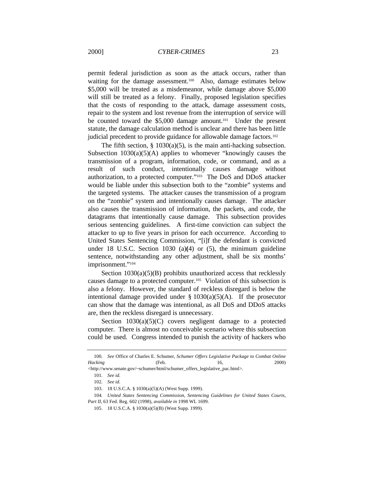permit federal jurisdiction as soon as the attack occurs, rather than waiting for the damage assessment.<sup>100</sup> Also, damage estimates below \$5,000 will be treated as a misdemeanor, while damage above \$5,000 will still be treated as a felony. Finally, proposed legislation specifies that the costs of responding to the attack, damage assessment costs, repair to the system and lost revenue from the interruption of service will be counted toward the \$5,000 damage amount.101 Under the present statute, the damage calculation method is unclear and there has been little judicial precedent to provide guidance for allowable damage factors.<sup>102</sup>

The fifth section,  $\S$  1030(a)(5), is the main anti-hacking subsection. Subsection  $1030(a)(5)(A)$  applies to whomever "knowingly causes the transmission of a program, information, code, or command, and as a result of such conduct, intentionally causes damage without authorization, to a protected computer."103 The DoS and DDoS attacker would be liable under this subsection both to the "zombie" systems and the targeted systems. The attacker causes the transmission of a program on the "zombie" system and intentionally causes damage. The attacker also causes the transmission of information, the packets, and code, the datagrams that intentionally cause damage. This subsection provides serious sentencing guidelines. A first-time conviction can subject the attacker to up to five years in prison for each occurrence. According to United States Sentencing Commission, "[i]f the defendant is convicted under 18 U.S.C. Section 1030 (a)**(**4) or (5), the minimum guideline sentence, notwithstanding any other adjustment, shall be six months' imprisonment."<sup>104</sup>

Section  $1030(a)(5)(B)$  prohibits unauthorized access that recklessly causes damage to a protected computer.105 Violation of this subsection is also a felony. However, the standard of reckless disregard is below the intentional damage provided under  $\S 1030(a)(5)(A)$ . If the prosecutor can show that the damage was intentional, as all DoS and DDoS attacks are, then the reckless disregard is unnecessary.

Section  $1030(a)(5)(C)$  covers negligent damage to a protected computer. There is almost no conceivable scenario where this subsection could be used. Congress intended to punish the activity of hackers who

<sup>100</sup>*. See* Office of Charles E. Schumer, *Schumer Offers Legislative Package to Combat Online Hacking* (Feb. 16, 2000)

<sup>&</sup>lt;http://www.senate.gov/~schumer/html/schumer\_offers\_legislative\_pac.html>.

<sup>101</sup>*. See id.*

<sup>102</sup>*. See id.*

<sup>103.</sup> 18 U.S.C.A. § 1030(a)(5)(A) (West Supp. 1999).

<sup>104</sup>*. United States Sentencing Commission, Sentencing Guidelines for United States Courts, Part II,* 63 Fed. Reg. 602 (1998), *available in* 1998 WL 1699.

<sup>105.</sup> 18 U.S.C.A. § 1030(a)(5)(B) (West Supp. 1999).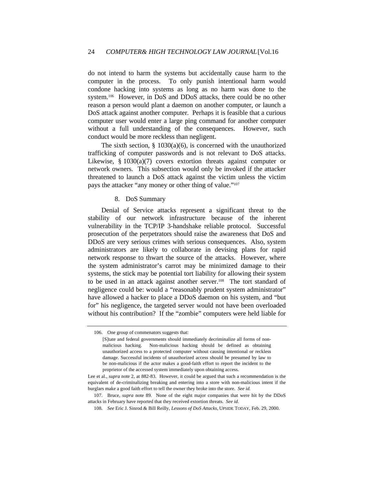do not intend to harm the systems but accidentally cause harm to the computer in the process. To only punish intentional harm would condone hacking into systems as long as no harm was done to the system.106 However, in DoS and DDoS attacks, there could be no other reason a person would plant a daemon on another computer, or launch a DoS attack against another computer. Perhaps it is feasible that a curious computer user would enter a large ping command for another computer without a full understanding of the consequences. However, such conduct would be more reckless than negligent.

The sixth section,  $\S$  1030(a)(6), is concerned with the unauthorized trafficking of computer passwords and is not relevant to DoS attacks. Likewise, § 1030(a)(7) covers extortion threats against computer or network owners. This subsection would only be invoked if the attacker threatened to launch a DoS attack against the victim unless the victim pays the attacker "any money or other thing of value."<sup>107</sup>

## 8. DoS Summary

Denial of Service attacks represent a significant threat to the stability of our network infrastructure because of the inherent vulnerability in the TCP/IP 3-handshake reliable protocol. Successful prosecution of the perpetrators should raise the awareness that DoS and DDoS are very serious crimes with serious consequences. Also, system administrators are likely to collaborate in devising plans for rapid network response to thwart the source of the attacks. However, where the system administrator's carrot may be minimized damage to their systems, the stick may be potential tort liability for allowing their system to be used in an attack against another server.108 The tort standard of negligence could be: would a "reasonably prudent system administrator" have allowed a hacker to place a DDoS daemon on his system, and "but for" his negligence, the targeted server would not have been overloaded without his contribution? If the "zombie" computers were held liable for

<sup>106.</sup> One group of commenators suggests that:

<sup>[</sup>S]tate and federal governments should immediately decriminalize all forms of nonmalicious hacking. Non-malicious hacking should be defined as obtaining unauthorized access to a protected computer without causing intentional or reckless damage. Successful incidents of unauthorized access should be presumed by law to be non-malicious if the actor makes a good-faith effort to report the incident to the proprietor of the accessed system immediately upon obtaining access.

Lee et al., *supra* note 2, at 882-83. However, it could be argued that such a recommendation is the equivalent of de-criminalizing breaking and entering into a store with non-malicious intent if the burglars make a good faith effort to tell the owner they broke into the store. *See id.*

<sup>107.</sup> Bruce, *supra* note 89. None of the eight major companies that were hit by the DDoS attacks in February have reported that they received extortion threats. *See id*.

<sup>108</sup>*. See* Eric J. Sinrod & Bill Reilly, *Lessons of DoS Attacks*, UPSIDE TODAY, Feb. 29, 2000.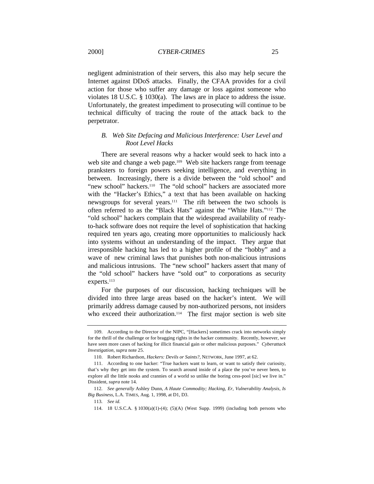negligent administration of their servers, this also may help secure the Internet against DDoS attacks. Finally, the CFAA provides for a civil action for those who suffer any damage or loss against someone who violates 18 U.S.C. § 1030(a). The laws are in place to address the issue. Unfortunately, the greatest impediment to prosecuting will continue to be technical difficulty of tracing the route of the attack back to the perpetrator.

## *B. Web Site Defacing and Malicious Interference: User Level and Root Level Hacks*

There are several reasons why a hacker would seek to hack into a web site and change a web page.<sup>109</sup> Web site hackers range from teenage pranksters to foreign powers seeking intelligence, and everything in between. Increasingly, there is a divide between the "old school" and "new school" hackers.<sup>110</sup> The "old school" hackers are associated more with the "Hacker's Ethics," a text that has been available on hacking newsgroups for several years.111 The rift between the two schools is often referred to as the "Black Hats" against the "White Hats."112 The "old school" hackers complain that the widespread availability of readyto-hack software does not require the level of sophistication that hacking required ten years ago, creating more opportunities to maliciously hack into systems without an understanding of the impact. They argue that irresponsible hacking has led to a higher profile of the "hobby" and a wave of new criminal laws that punishes both non-malicious intrusions and malicious intrusions. The "new school" hackers assert that many of the "old school" hackers have "sold out" to corporations as security experts.<sup>113</sup>

For the purposes of our discussion, hacking techniques will be divided into three large areas based on the hacker's intent. We will primarily address damage caused by non-authorized persons, not insiders who exceed their authorization.<sup>114</sup> The first major section is web site

<sup>109.</sup> According to the Director of the NIPC, "[Hackers] sometimes crack into networks simply for the thrill of the challenge or for bragging rights in the hacker community. Recently, however, we have seen more cases of hacking for illicit financial gain or other malicious purposes." *Cyberattack Investigation, supra* note 25.

<sup>110.</sup> Robert Richardson, *Hackers: Devils or Saints?*, NETWORK, June 1997, at 62.

<sup>111.</sup> According to one hacker: "True hackers want to learn, or want to satisfy their curiosity, that's why they get into the system. To search around inside of a place the you've never been, to explore all the little nooks and crannies of a world so unlike the boring cess-pool [sic] we live in." Dissident, *supra* note 14.

<sup>112</sup>*. See generally* Ashley Dunn, *A Haute Commodity; Hacking, Er, Vulnerability Analysis, Is Big Business*, L.A. TIMES, Aug. 1, 1998, at D1, D3.

<sup>113</sup>*. See id.*

<sup>114.</sup> 18 U.S.C.A. § 1030(a)(1)-(4); (5)(A) (West Supp. 1999) (including both persons who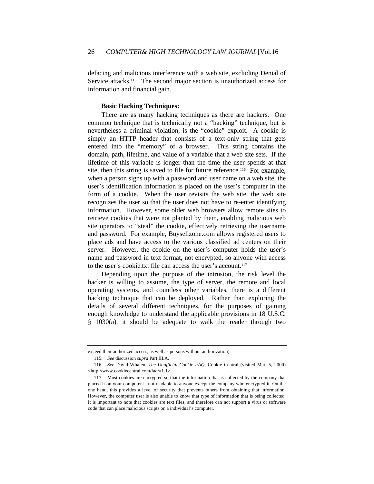defacing and malicious interference with a web site, excluding Denial of Service attacks.<sup>115</sup> The second major section is unauthorized access for information and financial gain.

#### **Basic Hacking Techniques:**

There are as many hacking techniques as there are hackers. One common technique that is technically not a "hacking" technique, but is nevertheless a criminal violation, is the "cookie" exploit. A cookie is simply an HTTP header that consists of a text-only string that gets entered into the "memory" of a browser. This string contains the domain, path, lifetime, and value of a variable that a web site sets. If the lifetime of this variable is longer than the time the user spends at that site, then this string is saved to file for future reference.<sup>116</sup> For example, when a person signs up with a password and user name on a web site, the user's identification information is placed on the user's computer in the form of a cookie. When the user revisits the web site, the web site recognizes the user so that the user does not have to re-enter identifying information. However, some older web browsers allow remote sites to retrieve cookies that were not planted by them, enabling malicious web site operators to "steal" the cookie, effectively retrieving the username and password. For example, Buysellzone.com allows registered users to place ads and have access to the various classified ad centers on their server. However, the cookie on the user's computer holds the user's name and password in text format, not encrypted, so anyone with access to the user's cookie.txt file can access the user's account.<sup>117</sup>

Depending upon the purpose of the intrusion, the risk level the hacker is willing to assume, the type of server, the remote and local operating systems, and countless other variables, there is a different hacking technique that can be deployed. Rather than exploring the details of several different techniques, for the purposes of gaining enough knowledge to understand the applicable provisions in 18 U.S.C. § 1030(a), it should be adequate to walk the reader through two

exceed their authorized access, as well as persons without authorization).

<sup>115</sup>*. See* discussion *supra* Part III.A.

<sup>116</sup>*. See* David Whalen, *The Unofficial Cookie FAQ*, Cookie Central (visited Mar. 5, 2000) <http://www.cookiecentral.com/faq/#1.1>.

<sup>117.</sup> Most cookies are encrypted so that the information that is collected by the company that placed it on your computer is not readable to anyone except the company who encrypted it. On the one hand, this provides a level of security that prevents others from obtaining that information. However, the computer user is also unable to know that type of information that is being collected. It is important to note that cookies are text files, and therefore can not support a virus or software code that can place malicious scripts on a individual's computer.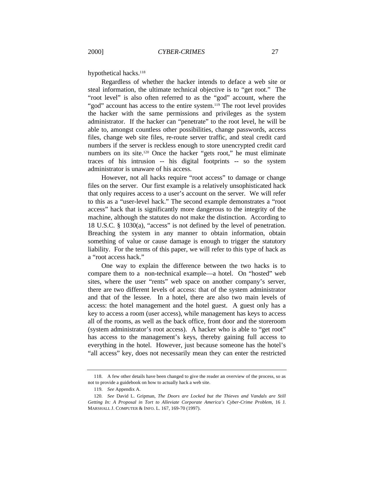hypothetical hacks.<sup>118</sup>

Regardless of whether the hacker intends to deface a web site or steal information, the ultimate technical objective is to "get root." The "root level" is also often referred to as the "god" account, where the "god" account has access to the entire system.<sup>119</sup> The root level provides the hacker with the same permissions and privileges as the system administrator. If the hacker can "penetrate" to the root level, he will be able to, amongst countless other possibilities, change passwords, access files, change web site files, re-route server traffic, and steal credit card numbers if the server is reckless enough to store unencrypted credit card numbers on its site.<sup>120</sup> Once the hacker "gets root," he must eliminate traces of his intrusion -- his digital footprints -- so the system administrator is unaware of his access.

However, not all hacks require "root access" to damage or change files on the server. Our first example is a relatively unsophisticated hack that only requires access to a user's account on the server. We will refer to this as a "user-level hack." The second example demonstrates a "root access" hack that is significantly more dangerous to the integrity of the machine, although the statutes do not make the distinction. According to 18 U.S.C. § 1030(a), "access" is not defined by the level of penetration. Breaching the system in any manner to obtain information, obtain something of value or cause damage is enough to trigger the statutory liability. For the terms of this paper, we will refer to this type of hack as a "root access hack."

One way to explain the difference between the two hacks is to compare them to a non-technical example—a hotel. On "hosted" web sites, where the user "rents" web space on another company's server, there are two different levels of access: that of the system administrator and that of the lessee. In a hotel, there are also two main levels of access: the hotel management and the hotel guest. A guest only has a key to access a room (user access), while management has keys to access all of the rooms, as well as the back office, front door and the storeroom (system administrator's root access). A hacker who is able to "get root" has access to the management's keys, thereby gaining full access to everything in the hotel. However, just because someone has the hotel's "all access" key, does not necessarily mean they can enter the restricted

<sup>118.</sup> A few other details have been changed to give the reader an overview of the process, so as not to provide a guidebook on how to actually hack a web site.

<sup>119</sup>*. See* Appendix A.

<sup>120</sup>*. See* David L. Gripman, *The Doors are Locked but the Thieves and Vandals are Still Getting In: A Proposal in Tort to Alleviate Corporate America's Cyber-Crime Problem*, 16 J. MARSHALL J. COMPUTER & INFO. L. 167, 169-70 (1997).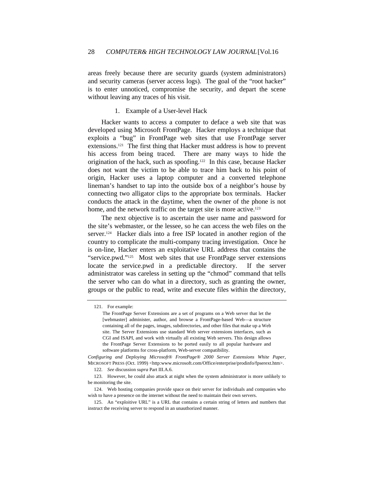areas freely because there are security guards (system administrators) and security cameras (server access logs). The goal of the "root hacker" is to enter unnoticed, compromise the security, and depart the scene without leaving any traces of his visit.

## 1. Example of a User-level Hack

Hacker wants to access a computer to deface a web site that was developed using Microsoft FrontPage. Hacker employs a technique that exploits a "bug" in FrontPage web sites that use FrontPage server extensions.121 The first thing that Hacker must address is how to prevent his access from being traced. There are many ways to hide the origination of the hack, such as spoofing.122 In this case, because Hacker does not want the victim to be able to trace him back to his point of origin, Hacker uses a laptop computer and a converted telephone lineman's handset to tap into the outside box of a neighbor's house by connecting two alligator clips to the appropriate box terminals. Hacker conducts the attack in the daytime, when the owner of the phone is not home, and the network traffic on the target site is more active.<sup>123</sup>

The next objective is to ascertain the user name and password for the site's webmaster, or the lessee, so he can access the web files on the server.124 Hacker dials into a free ISP located in another region of the country to complicate the multi-company tracing investigation. Once he is on-line, Hacker enters an exploitative URL address that contains the "service.pwd."125 Most web sites that use FrontPage server extensions locate the service.pwd in a predictable directory. If the server administrator was careless in setting up the "chmod" command that tells the server who can do what in a directory, such as granting the owner, groups or the public to read, write and execute files within the directory,

122*. See* discussion *supra* Part III.A.6.

<sup>121.</sup> For example:

The FrontPage Server Extensions are a set of programs on a Web server that let the [webmaster] administer, author, and browse a FrontPage-based Web—a structure containing all of the pages, images, subdirectories, and other files that make up a Web site. The Server Extensions use standard Web server extensions interfaces, such as CGI and ISAPI, and work with virtually all existing Web servers. This design allows the FrontPage Server Extensions to be ported easily to all popular hardware and software platforms for cross-platform, Web-server compatibility.

*Configuring and Deploying Microsoft® FrontPage® 2000 Server Extensions White Paper*, MICROSOFT PRESS (Oct. 1999) <http:www.microsoft.com/Office/enterprise/prodinfo/fpserext.htm>.

<sup>123.</sup> However, he could also attack at night when the system administrator is more unlikely to be monitoring the site.

<sup>124.</sup> Web hosting companies provide space on their server for individuals and companies who wish to have a presence on the internet without the need to maintain their own servers.

<sup>125.</sup> An "exploitive URL" is a URL that contains a certain string of letters and numbers that instruct the receiving server to respond in an unauthorized manner.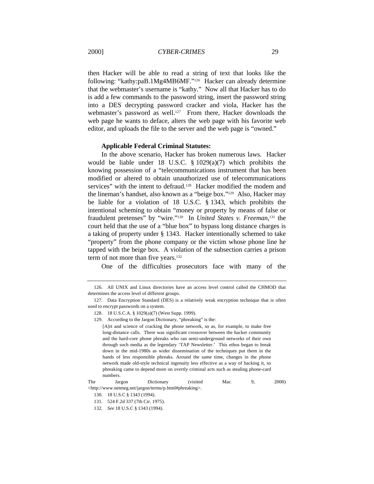then Hacker will be able to read a string of text that looks like the following: "kathy:paB.1Mg4MB6MF."126 Hacker can already determine that the webmaster's username is "kathy." Now all that Hacker has to do is add a few commands to the password string, insert the password string into a DES decrypting password cracker and viola, Hacker has the webmaster's password as well.<sup>127</sup> From there, Hacker downloads the web page he wants to deface, alters the web page with his favorite web editor, and uploads the file to the server and the web page is "owned."

#### **Applicable Federal Criminal Statutes:**

In the above scenario, Hacker has broken numerous laws. Hacker would be liable under 18 U.S.C. § 1029(a)(7) which prohibits the knowing possession of a "telecommunications instrument that has been modified or altered to obtain unauthorized use of telecommunications services" with the intent to defraud.<sup>128</sup> Hacker modified the modem and the lineman's handset, also known as a "beige box."129 Also, Hacker may be liable for a violation of 18 U.S.C. § 1343, which prohibits the intentional scheming to obtain "money or property by means of false or fraudulent pretenses" by "wire."130 In *United States v. Freeman*, <sup>131</sup> the court held that the use of a "blue box" to bypass long distance charges is a taking of property under § 1343. Hacker intentionally schemed to take "property" from the phone company or the victim whose phone line he tapped with the beige box. A violation of the subsection carries a prison term of not more than five years.<sup>132</sup>

One of the difficulties prosecutors face with many of the

<sup>126.</sup> All UNIX and Linux directories have an access level control called the CHMOD that determines the access level of different groups.

<sup>127.</sup> Data Encryption Standard (DES) is a relatively weak encryption technique that is often used to encrypt passwords on a system.

<sup>128.</sup> 18 U.S.C.A. § 1029(a)(7) (West Supp. 1999).

<sup>129.</sup> According to the Jargon Dictionary, "phreaking" is the:

<sup>[</sup>A]rt and science of cracking the phone network, so as, for example, to make free long-distance calls. There was significant crossover between the hacker community and the hard-core phone phreaks who ran semi-underground networks of their own through such media as the legendary 'TAP Newsletter.' This ethos began to break down in the mid-1980s as wider dissemination of the techniques put them in the hands of less responsible phreaks. Around the same time, changes in the phone network made old-style technical ingenuity less effective as a way of hacking it, so phreaking came to depend more on overtly criminal acts such as stealing phone-card numbers.

The Jargon Dictionary (visited Mar. 9, 2000) <http://www.netmeg.net/jargon/terms/p.html#phreaking>.

<sup>130.</sup> 18 U.S.C § 1343 (1994).

<sup>131.</sup> 524 F.2d 337 (7th Cir. 1975).

<sup>132</sup>*. See* 18 U.S.C § 1343 (1994).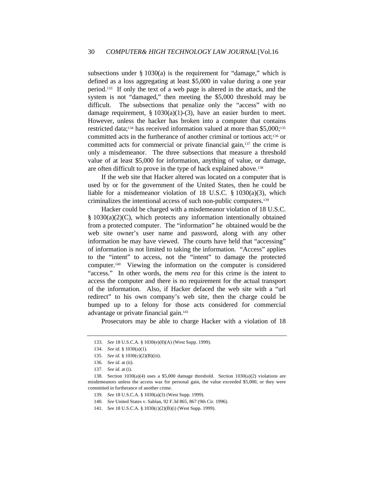subsections under  $\S$  1030(a) is the requirement for "damage," which is defined as a loss aggregating at least \$5,000 in value during a one year period.133 If only the text of a web page is altered in the attack, and the system is not "damaged," then meeting the \$5,000 threshold may be difficult. The subsections that penalize only the "access" with no damage requirement,  $\S 1030(a)(1)-(3)$ , have an easier burden to meet. However, unless the hacker has broken into a computer that contains restricted data;<sup>134</sup> has received information valued at more than \$5,000;<sup>135</sup> committed acts in the furtherance of another criminal or tortious act;<sup>136</sup> or committed acts for commercial or private financial gain,137 the crime is only a misdemeanor. The three subsections that measure a threshold value of at least \$5,000 for information, anything of value, or damage, are often difficult to prove in the type of hack explained above.<sup>138</sup>

If the web site that Hacker altered was located on a computer that is used by or for the government of the United States, then he could be liable for a misdemeanor violation of 18 U.S.C. § 1030(a)(3), which criminalizes the intentional access of such non-public computers.<sup>139</sup>

Hacker could be charged with a misdemeanor violation of 18 U.S.C. § 1030(a)(2)(C), which protects any information intentionally obtained from a protected computer. The "information" he obtained would be the web site owner's user name and password, along with any other information he may have viewed. The courts have held that "accessing" of information is not limited to taking the information. "Access" applies to the "intent" to access, not the "intent" to damage the protected computer.140 Viewing the information on the computer is considered "access." In other words, the *mens rea* for this crime is the intent to access the computer and there is no requirement for the actual transport of the information. Also, if Hacker defaced the web site with a "url redirect" to his own company's web site, then the charge could be bumped up to a felony for those acts considered for commercial advantage or private financial gain.<sup>141</sup>

Prosecutors may be able to charge Hacker with a violation of 18

140*. See* United States v. Sablan, 92 F.3d 865, 867 (9th Cir. 1996).

<sup>133</sup>*. See* 18 U.S.C.A. § 1030(e)(8)(A) (West Supp. 1999).

<sup>134</sup>*. See id.* § 1030(a)(1).

<sup>135</sup>*. See id.* § 1030(c)(2)(B)(iii).

<sup>136</sup>*. See id.* at (ii).

<sup>137</sup>*. See id.* at (i).

<sup>138.</sup> Section  $1030(a)(4)$  uses a \$5,000 damage threshold. Section  $1030(a)(2)$  violations are misdemeanors unless the access was for personal gain, the value exceeded \$5,000, or they were committed in furtherance of another crime.

<sup>139</sup>*. See* 18 U.S.C.A. § 1030(a)(3) (West Supp. 1999).

<sup>141</sup>*. See* 18 U.S.C.A. § 1030(c)(2)(B)(i) (West Supp. 1999).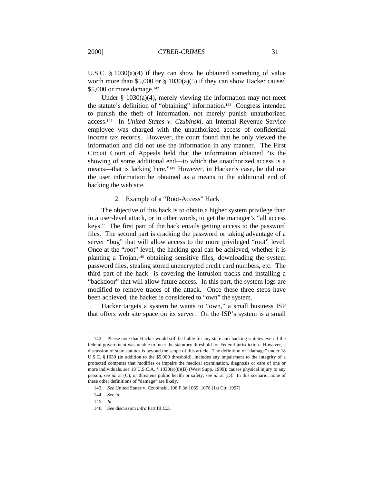U.S.C. § 1030(a)(4) if they can show he obtained something of value worth more than \$5,000 or  $\S$  1030(a)(5) if they can show Hacker caused \$5,000 or more damage.<sup>142</sup>

Under § 1030(a)(4), merely viewing the information may not meet the statute's definition of "obtaining" information.143 Congress intended to punish the theft of information, not merely punish unauthorized access.144 In *United States v. Czubinski*, an Internal Revenue Service employee was charged with the unauthorized access of confidential income tax records. However, the court found that he only viewed the information and did not use the information in any manner. The First Circuit Court of Appeals held that the information obtained "is the showing of some additional end—to which the unauthorized access is a means—that is lacking here."145 However, in Hacker's case, he did use the user information he obtained as a means to the additional end of hacking the web site.

#### 2. Example of a "Root-Access" Hack

The objective of this hack is to obtain a higher system privilege than in a user-level attack, or in other words, to get the manager's "all access keys." The first part of the hack entails getting access to the password files. The second part is cracking the password or taking advantage of a server "bug" that will allow access to the more privileged "root" level. Once at the "root" level, the hacking goal can be achieved, whether it is planting a Trojan,<sup>146</sup> obtaining sensitive files, downloading the system password files, stealing stored unencrypted credit card numbers, etc. The third part of the hack is covering the intrusion tracks and installing a "backdoor" that will allow future access. In this part, the system logs are modified to remove traces of the attack. Once these three steps have been achieved, the hacker is considered to "own" the system.

Hacker targets a system he wants to "own," a small business ISP that offers web site space on its server. On the ISP's system is a small

<sup>142.</sup> Please note that Hacker would still be liable for any state anti-hacking statutes even if the federal government was unable to meet the statutory threshold for Federal jurisdiction. However, a discussion of state statutes is beyond the scope of this article. The definition of "damage" under 18 U.S.C. § 1030 (in addition to the \$5,000 threshold), includes any impairment to the integrity of a protected computer that modifies or impairs the medical examination, diagnosis or care of one or more individuals, *see* 18 U.S.C.A. § 1030(e)(8)(B) (West Supp. 1999); causes physical injury to any person, *see id.* at (C); or threatens public health or safety, *see id.* at (D). In this scenario, none of these other definitions of "damage" are likely.

<sup>143</sup>*. See* United States v. Czubinski, 106 F.3d 1069, 1078 (1st Cir. 1997).

<sup>144</sup>*. See id.*

<sup>145</sup>*. Id.*

<sup>146</sup>*. See* discussion *infra* Part III.C.3.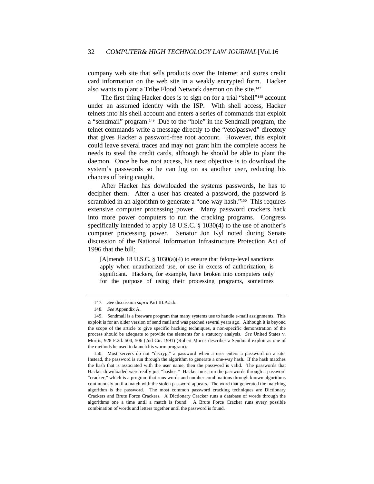company web site that sells products over the Internet and stores credit card information on the web site in a weakly encrypted form. Hacker also wants to plant a Tribe Flood Network daemon on the site.<sup>147</sup>

The first thing Hacker does is to sign on for a trial "shell"<sup>148</sup> account under an assumed identity with the ISP. With shell access, Hacker telnets into his shell account and enters a series of commands that exploit a "sendmail" program.149 Due to the "hole" in the Sendmail program, the telnet commands write a message directly to the "/etc/passwd" directory that gives Hacker a password-free root account. However, this exploit could leave several traces and may not grant him the complete access he needs to steal the credit cards, although he should be able to plant the daemon. Once he has root access, his next objective is to download the system's passwords so he can log on as another user, reducing his chances of being caught.

After Hacker has downloaded the systems passwords, he has to decipher them. After a user has created a password, the password is scrambled in an algorithm to generate a "one-way hash."<sup>150</sup> This requires extensive computer processing power. Many password crackers hack into more power computers to run the cracking programs. Congress specifically intended to apply 18 U.S.C. § 1030(4) to the use of another's computer processing power. Senator Jon Kyl noted during Senate discussion of the National Information Infrastructure Protection Act of 1996 that the bill:

[A]mends 18 U.S.C. § 1030(a)(4) to ensure that felony-level sanctions apply when unauthorized use, or use in excess of authorization, is significant. Hackers, for example, have broken into computers only for the purpose of using their processing programs, sometimes

<sup>147</sup>*. See* discussion *supra* Part III.A.5.b.

<sup>148</sup>*. See* Appendix A.

<sup>149.</sup> Sendmail is a freeware program that many systems use to handle e-mail assignments. This exploit is for an older version of send mail and was patched several years ago. Although it is beyond the scope of the article to give specific hacking techniques, a non-specific demonstration of the process should be adequate to provide the elements for a statutory analysis. *See* United States v. Morris, 928 F.2d. 504, 506 (2nd Cir. 1991) (Robert Morris describes a Sendmail exploit as one of the methods he used to launch his worm program).

<sup>150.</sup> Most servers do not "decrypt" a password when a user enters a password on a site. Instead, the password is run through the algorithm to generate a one-way hash. If the hash matches the hash that is associated with the user name, then the password is valid. The passwords that Hacker downloaded were really just "hashes." Hacker must run the passwords through a password "cracker," which is a program that runs words and number combinations through known algorithms continuously until a match with the stolen password appears. The word that generated the matching algorithm is the password. The most common password cracking techniques are Dictionary Crackers and Brute Force Crackers. A Dictionary Cracker runs a database of words through the algorithms one a time until a match is found. A Brute Force Cracker runs every possible combination of words and letters together until the password is found.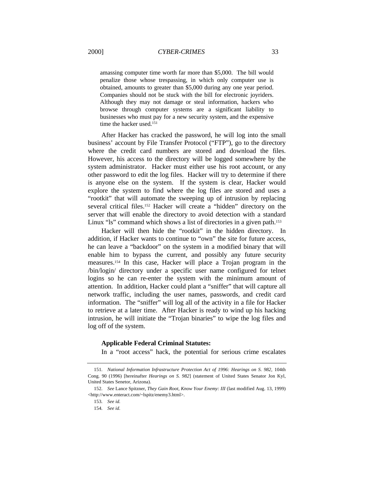amassing computer time worth far more than \$5,000. The bill would penalize those whose trespassing, in which only computer use is obtained, amounts to greater than \$5,000 during any one year period. Companies should not be stuck with the bill for electronic joyriders. Although they may not damage or steal information, hackers who browse through computer systems are a significant liability to businesses who must pay for a new security system, and the expensive time the hacker used.<sup>151</sup>

After Hacker has cracked the password, he will log into the small business' account by File Transfer Protocol ("FTP"), go to the directory where the credit card numbers are stored and download the files. However, his access to the directory will be logged somewhere by the system administrator. Hacker must either use his root account, or any other password to edit the log files. Hacker will try to determine if there is anyone else on the system. If the system is clear, Hacker would explore the system to find where the log files are stored and uses a "rootkit" that will automate the sweeping up of intrusion by replacing several critical files.<sup>152</sup> Hacker will create a "hidden" directory on the server that will enable the directory to avoid detection with a standard Linux "ls" command which shows a list of directories in a given path.<sup>153</sup>

Hacker will then hide the "rootkit" in the hidden directory. In addition, if Hacker wants to continue to "own" the site for future access, he can leave a "backdoor" on the system in a modified binary that will enable him to bypass the current, and possibly any future security measures.154 In this case, Hacker will place a Trojan program in the /bin/login/ directory under a specific user name configured for telnet logins so he can re-enter the system with the minimum amount of attention. In addition, Hacker could plant a "sniffer" that will capture all network traffic, including the user names, passwords, and credit card information. The "sniffer" will log all of the activity in a file for Hacker to retrieve at a later time. After Hacker is ready to wind up his hacking intrusion, he will initiate the "Trojan binaries" to wipe the log files and log off of the system.

#### **Applicable Federal Criminal Statutes:**

In a "root access" hack, the potential for serious crime escalates

<sup>151</sup>*. National Information Infrastructure Protection Act of 1996: Hearings on S. 982,* 104th Cong. 90 (1996) [hereinafter *Hearings on S. 982*] (statement of United States Senator Jon Kyl, United States Senetor, Arizona).

<sup>152</sup>*. See* Lance Spitzner, *They Gain Root, Know Your Enemy: III* (last modified Aug. 13, 1999) <http://www.enteract.com/~lspitz/enemy3.html>.

<sup>153</sup>*. See id.*

<sup>154</sup>*. See id.*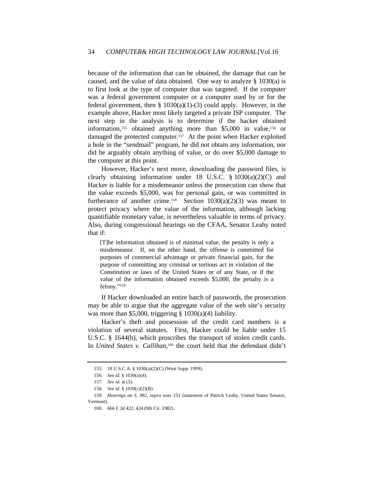because of the information that can be obtained, the damage that can be caused, and the value of data obtained. One way to analyze § 1030(a) is to first look at the type of computer that was targeted. If the computer was a federal government computer or a computer used by or for the federal government, then  $\S$  1030(a)(1)-(3) could apply. However, in the example above, Hacker most likely targeted a private ISP computer. The next step in the analysis is to determine if the hacker obtained information,<sup>155</sup> obtained anything more than  $$5,000$  in value,<sup>156</sup> or damaged the protected computer.<sup>157</sup> At the point when Hacker exploited a hole in the "sendmail" program, he did not obtain any information, nor did he arguably obtain anything of value, or do over \$5,000 damage to the computer at this point.

However, Hacker's next move, downloading the password files, is clearly obtaining information under 18 U.S.C.  $\S$  1030(a)(2)(C) and Hacker is liable for a misdemeanor unless the prosecution can show that the value exceeds \$5,000, was for personal gain, or was committed in furtherance of another crime.<sup>158</sup> Section  $1030(a)(2)(3)$  was meant to protect privacy where the value of the information, although lacking quantifiable monetary value, is nevertheless valuable in terms of privacy. Also, during congressional hearings on the CFAA, Senator Leahy noted that if:

[T]he information obtained is of minimal value, the penalty is only a misdemeanor. If, on the other hand, the offense is committed for purposes of commercial advantage or private financial gain, for the purpose of committing any criminal or tortious act in violation of the Constitution or laws of the United States or of any State, or if the value of the information obtained exceeds \$5,000, the penalty is a felony."<sup>159</sup>

If Hacker downloaded an entire batch of passwords, the prosecution may be able to argue that the aggregate value of the web site's security was more than \$5,000, triggering  $\S$  1030(a)(4) liability.

Hacker's theft and possession of the credit card numbers is a violation of several statutes. First, Hacker could be liable under 15 U.S.C. § 1644(b), which proscribes the transport of stolen credit cards. In *United States v. Callihan*,<sup>160</sup> the court held that the defendant didn't

<sup>155.</sup> 18 U.S.C.A. § 1030(a)(2)(C) (West Supp. 1999).

<sup>156</sup>*. See id.* § 1030(a)(4).

<sup>157</sup>*. See id.* at (5).

<sup>158</sup>*. See id.* § 1030(c)(2)(B).

<sup>159</sup>*. Hearings on S. 982, supra* note 151 (statement of Patrick Leahy, United States Senator, Vermont).

<sup>160.</sup> 666 F.2d 422, 424 (9th Cir. 1982).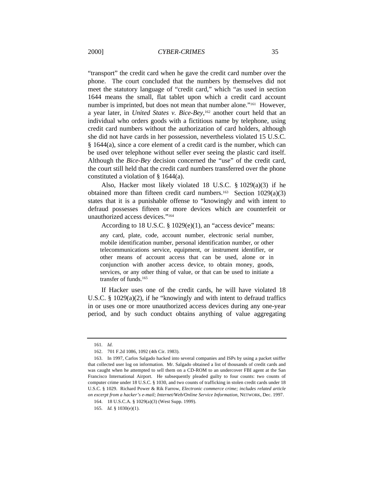"transport" the credit card when he gave the credit card number over the phone. The court concluded that the numbers by themselves did not meet the statutory language of "credit card," which "as used in section 1644 means the small, flat tablet upon which a credit card account number is imprinted, but does not mean that number alone."161 However, a year later, in *United States v. Bice-Bey*, <sup>162</sup> another court held that an individual who orders goods with a fictitious name by telephone, using credit card numbers without the authorization of card holders, although she did not have cards in her possession, nevertheless violated 15 U.S.C. § 1644(a), since a core element of a credit card is the number, which can be used over telephone without seller ever seeing the plastic card itself. Although the *Bice-Bey* decision concerned the "use" of the credit card, the court still held that the credit card numbers transferred over the phone constituted a violation of § 1644(a).

Also, Hacker most likely violated 18 U.S.C. § 1029(a)(3) if he obtained more than fifteen credit card numbers.<sup>163</sup> Section  $1029(a)(3)$ states that it is a punishable offense to "knowingly and with intent to defraud possesses fifteen or more devices which are counterfeit or unauthorized access devices."<sup>164</sup>

According to 18 U.S.C. § 1029(e)(1), an "access device" means:

any card, plate, code, account number, electronic serial number, mobile identification number, personal identification number, or other telecommunications service, equipment, or instrument identifier, or other means of account access that can be used, alone or in conjunction with another access device, to obtain money, goods, services, or any other thing of value, or that can be used to initiate a transfer of funds.<sup>165</sup>

If Hacker uses one of the credit cards, he will have violated 18 U.S.C. § 1029(a)(2), if he "knowingly and with intent to defraud traffics in or uses one or more unauthorized access devices during any one-year period, and by such conduct obtains anything of value aggregating

<sup>161</sup>*. Id*.

<sup>162.</sup> 701 F.2d 1086, 1092 (4th Cir. 1983).

<sup>163.</sup> In 1997, Carlos Salgado hacked into several companies and ISPs by using a packet sniffer that collected user log on information. Mr. Salgado obtained a list of thousands of credit cards and was caught when he attempted to sell them on a CD-ROM to an undercover FBI agent at the San Francisco International Airport. He subsequently pleaded guilty to four counts: two counts of computer crime under 18 U.S.C. § 1030, and two counts of trafficking in stolen credit cards under 18 U.S.C. § 1029. Richard Power & Rik Farrow, *Electronic commerce crime; includes related article on excerpt from a hacker's e-mail; Internet/Web/Online Service Information,* NETWORK, Dec. 1997.

<sup>164.</sup> 18 U.S.C.A. § 1029(a)(3) (West Supp. 1999).

<sup>165</sup>*. Id.* § 1030(e)(1).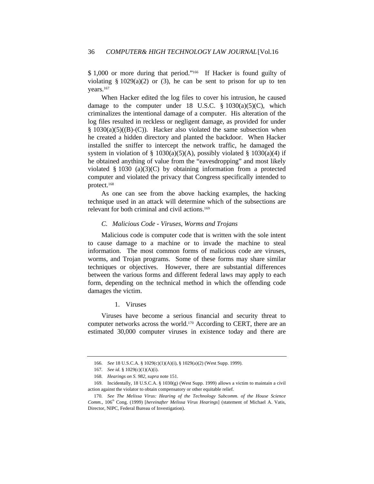\$ 1,000 or more during that period."<sup>166</sup> If Hacker is found guilty of violating  $\S 1029(a)(2)$  or (3), he can be sent to prison for up to ten years.<sup>167</sup>

When Hacker edited the log files to cover his intrusion, he caused damage to the computer under 18 U.S.C.  $\S$  1030(a)(5)(C), which criminalizes the intentional damage of a computer. His alteration of the log files resulted in reckless or negligent damage, as provided for under  $§ 1030(a)(5)((B)-(C))$ . Hacker also violated the same subsection when he created a hidden directory and planted the backdoor. When Hacker installed the sniffer to intercept the network traffic, he damaged the system in violation of § 1030(a)(5)(A), possibly violated § 1030(a)(4) if he obtained anything of value from the "eavesdropping" and most likely violated  $\S$  1030 (a)(3)(C) by obtaining information from a protected computer and violated the privacy that Congress specifically intended to protect.<sup>168</sup>

As one can see from the above hacking examples, the hacking technique used in an attack will determine which of the subsections are relevant for both criminal and civil actions.<sup>169</sup>

#### *C. Malicious Code - Viruses, Worms and Trojans*

Malicious code is computer code that is written with the sole intent to cause damage to a machine or to invade the machine to steal information. The most common forms of malicious code are viruses, worms, and Trojan programs. Some of these forms may share similar techniques or objectives. However, there are substantial differences between the various forms and different federal laws may apply to each form, depending on the technical method in which the offending code damages the victim.

#### 1. Viruses

Viruses have become a serious financial and security threat to computer networks across the world.170 According to CERT, there are an estimated 30,000 computer viruses in existence today and there are

<sup>166</sup>*. See* 18 U.S.C.A. § 1029(c)(1)(A)(i), § 1029(a)(2) (West Supp. 1999).

<sup>167</sup>*. See id.* § 1029(c)(1)(A)(i).

<sup>168</sup>*. Hearings on S. 982, supra* note 151.

<sup>169.</sup> Incidentally, 18 U.S.C.A. § 1030(g) (West Supp. 1999) allows a victim to maintain a civil action against the violator to obtain compensatory or other equitable relief.

<sup>170</sup>*. See The Melissa Virus: Hearing of the Technology Subcomm. of the House Science Comm.*, 106<sup>th</sup> Cong. (1999) [*hereinafter Melissa Virus Hearings*] (statement of Michael A. Vatis, Director, NIPC, Federal Bureau of Investigation).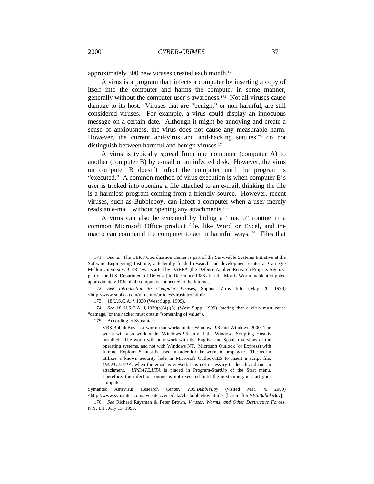approximately 300 new viruses created each month.<sup>171</sup>

A virus is a program than infects a computer by inserting a copy of itself into the computer and harms the computer in some manner, generally without the computer user's awareness.172 Not all viruses cause damage to its host. Viruses that are "benign," or non-harmful, are still considered viruses. For example, a virus could display an innocuous message on a certain date. Although it might be annoying and create a sense of anxiousness, the virus does not cause any measurable harm. However, the current anti-virus and anti-hacking statutes<sup>173</sup> do not distinguish between harmful and benign viruses.<sup>174</sup>

A virus is typically spread from one computer (computer A) to another (computer B) by e-mail or an infected disk. However, the virus on computer B doesn't infect the computer until the program is "executed." A common method of virus execution is when computer B's user is tricked into opening a file attached to an e-mail, thinking the file is a harmless program coming from a friendly source. However, recent viruses, such as Bubbleboy, can infect a computer when a user merely reads an e-mail, without opening any attachments.<sup>175</sup>

A virus can also be executed by hiding a "macro" routine in a common Microsoft Office product file, like Word or Excel, and the macro can command the computer to act in harmful ways.<sup>176</sup> Files that

<sup>171</sup>*. See id.* The CERT Coordination Center is part of the Survivable Systems Initiative at the Software Engineering Institute, a federally funded research and development center at Carnegie Mellon University. CERT was started by DARPA (the Defense Applied Research Projects Agency, part of the U.S. Department of Defense) in December 1988 after the Morris Worm incident crippled approximately 10% of all computers connected to the Internet.

<sup>172</sup>*. See Introduction to Computer Viruses*, Sophos Virus Info (May 26, 1998) <http://www.sophos.com/virusinfo/articles/virusintro.html>.

<sup>173.</sup> 18 U.S.C.A. § 1030 (West Supp. 1999).

<sup>174</sup>*. See* 18 U.S.C.A. § 1030(a)(4)-(5) (West Supp. 1999) (stating that a virus must cause "damage,"or the hacker must obtain "something of value").

<sup>175.</sup> According to Symantec:

VBS.BubbleBoy is a worm that works under Windows 98 and Windows 2000. The worm will also work under Windows 95 only if the Windows Scripting Host is installed. The worm will only work with the English and Spanish versions of the operating systems, and not with Windows NT. Microsoft Outlook (or Express) with Internet Explorer 5 must be used in order for the worm to propagate. The worm utilizes a known security hole in Microsoft Outlook/IE5 to insert a script file, *UPDATE.HTA*, when the email is viewed. It is not necessary to detach and run an attachment. *UPDATE.HTA* is placed in Program-StartUp of the Start menu. Therefore, the infection routine is not executed until the next time you start your computer.

Symantec AntiVirus Research Center, *VBS.BubbleBoy* (visited Mar. 4, 2000) <http://www.symantec.com/avcenter/venc/data/vbs.bubbleboy.html> [hereinafter *VBS.BubbleBoy*].

<sup>176</sup>*. See* Richard Raysman & Peter Brown, *Viruses, Worms, and Other Destructive Forces,* N.Y. L.J., July 13, 1999.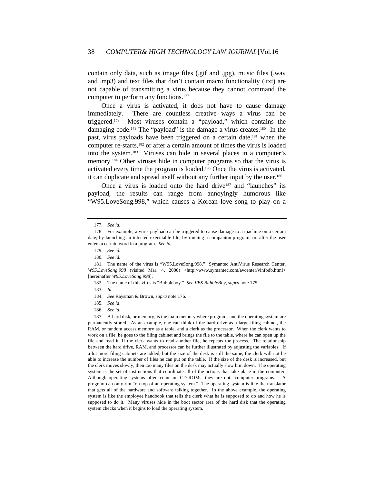contain only data, such as image files (.gif and .jpg), music files (.wav and .mp3) and text files that don't contain macro functionality (.txt) are not capable of transmitting a virus because they cannot command the computer to perform any functions.<sup>177</sup>

Once a virus is activated, it does not have to cause damage immediately. There are countless creative ways a virus can be triggered.178 Most viruses contain a "payload," which contains the damaging code.<sup>179</sup> The "payload" is the damage a virus creates.<sup>180</sup> In the past, virus payloads have been triggered on a certain date,<sup>181</sup> when the computer re-starts,182 or after a certain amount of times the virus is loaded into the system.183 Viruses can hide in several places in a computer's memory.184 Other viruses hide in computer programs so that the virus is activated every time the program is loaded.185 Once the virus is activated, it can duplicate and spread itself without any further input by the user.<sup>186</sup>

Once a virus is loaded onto the hard drive<sup>187</sup> and "launches" its payload, the results can range from annoyingly humorous like "W95.LoveSong.998," which causes a Korean love song to play on a

<sup>177</sup>*. See id.*

<sup>178.</sup> For example, a virus payload can be triggered to cause damage to a machine on a certain date; by launching an infected executable file; by running a companion program; or, after the user enters a certain word in a program. *See id.*

<sup>179</sup>*. See id.*

<sup>180</sup>*. See id.*

<sup>181.</sup> The name of the virus is "W95.LoveSong.998." Symantec AntiVirus Research Center, *W95.LoveSong.998* (visited Mar. 4, 2000) <http://www.symantec.com/avcenter/vinfodb.html> [hereinafter *W95.LoveSong.998*].

<sup>182.</sup> The name of this virus is "Bubbleboy." *See VBS.BubbleBoy, supra* note 175.

<sup>183</sup>*. Id.*

<sup>184</sup>*. See* Raysman & Brown, *supra* note 176.

<sup>185</sup>*. See id*.

<sup>186</sup>*. See id.*

<sup>187.</sup> A hard disk, or memory, is the main memory where programs and the operating system are permanently stored. As an example, one can think of the hard drive as a large filing cabinet, the RAM, or random access memory as a table, and a clerk as the processor. When the clerk wants to work on a file, he goes to the filing cabinet and brings the file to the table, where he can open up the file and read it. If the clerk wants to read another file, he repeats the process. The relationship between the hard drive, RAM, and processor can be further illustrated by adjusting the variables. If a lot more filing cabinets are added, but the size of the desk is still the same, the clerk will not be able to increase the number of files he can put on the table. If the size of the desk is increased, but the clerk moves slowly, then too many files on the desk may actually slow him down. The operating system is the set of instructions that coordinate all of the actions that take place in the computer. Although operating systems often come on CD-ROMs, they are not "computer programs." A program can only run "on top of an operating system." The operating system is like the translator that gets all of the hardware and software talking together. In the above example, the operating system is like the employee handbook that tells the clerk what he is supposed to do and how he is supposed to do it. Many viruses hide in the boot sector area of the hard disk that the operating system checks when it begins to load the operating system.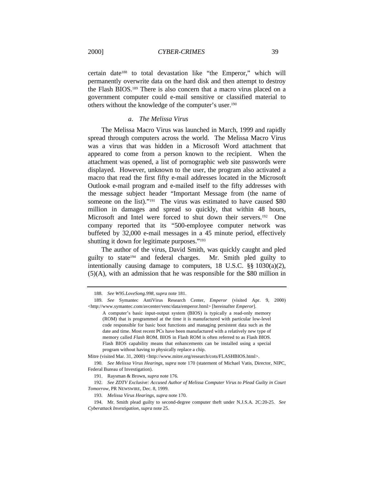2000] *CYBER-CRIMES* 39

certain date<sup>188</sup> to total devastation like "the Emperor," which will permanently overwrite data on the hard disk and then attempt to destroy the Flash BIOS.189 There is also concern that a macro virus placed on a government computer could e-mail sensitive or classified material to others without the knowledge of the computer's user.<sup>190</sup>

## *a. The Melissa Virus*

The Melissa Macro Virus was launched in March, 1999 and rapidly spread through computers across the world. The Melissa Macro Virus was a virus that was hidden in a Microsoft Word attachment that appeared to come from a person known to the recipient. When the attachment was opened, a list of pornographic web site passwords were displayed. However, unknown to the user, the program also activated a macro that read the first fifty e-mail addresses located in the Microsoft Outlook e-mail program and e-mailed itself to the fifty addresses with the message subject header "Important Message from (the name of someone on the list)."<sup>191</sup> The virus was estimated to have caused \$80 million in damages and spread so quickly, that within 48 hours, Microsoft and Intel were forced to shut down their servers.<sup>192</sup> One company reported that its "500-employee computer network was buffeted by 32,000 e-mail messages in a 45 minute period, effectively shutting it down for legitimate purposes."<sup>193</sup>

The author of the virus, David Smith, was quickly caught and pled guilty to state194 and federal charges. Mr. Smith pled guilty to intentionally causing damage to computers, 18 U.S.C. §§ 1030(a)(2), (5)(A), with an admission that he was responsible for the \$80 million in

<sup>188</sup>*. See W95.LoveSong.998, supra* note 181.

<sup>189</sup>*. See* Symantec AntiVirus Research Center, *Emperor* (visited Apr. 9, 2000) <http://www.symantec.com/avcenter/venc/data/emperor.html> [hereinafter *Emperor*].

A computer's basic input-output system (BIOS) is typically a read-only memory (ROM) that is programmed at the time it is manufactured with particular low-level code responsible for basic boot functions and managing persistent data such as the date and time. Most recent PCs have been manufactured with a relatively new type of memory called *Flash* ROM. BIOS in Flash ROM is often referred to as Flash BIOS. Flash BIOS capability means that enhancements can be installed using a special program without having to physically replace a chip.

Mitre (visited Mar. 31, 2000) <http://www.mitre.org/research/cots/FLASHBIOS.html>.

<sup>190</sup>*. See Melissa Virus Hearings, supra* note 170 (statement of Michael Vatis, Director, NIPC, Federal Bureau of Investigation).

<sup>191.</sup> Raysman & Brown, *supra* note 176.

<sup>192</sup>*. See ZDTV Exclusive: Accused Author of Melissa Computer Virus to Plead Guilty in Court Tomorrow*, PR NEWSWIRE, Dec. 8, 1999.

<sup>193</sup>*. Melissa Virus Hearings, supra* note 170.

<sup>194.</sup> Mr. Smith plead guilty to second-degree computer theft under N.J.S.A. 2C:20-25. *See Cyberattack Investigation, supra* note 25.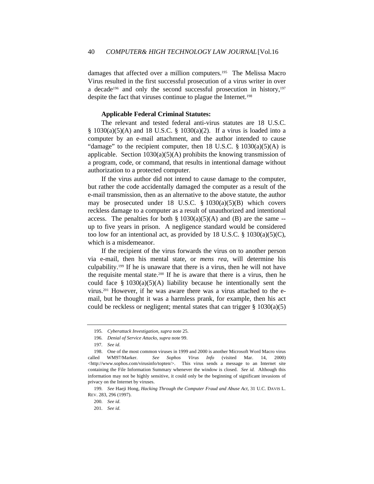damages that affected over a million computers.195 The Melissa Macro Virus resulted in the first successful prosecution of a virus writer in over a decade<sup>196</sup> and only the second successful prosecution in history, $197$ despite the fact that viruses continue to plague the Internet.<sup>198</sup>

## **Applicable Federal Criminal Statutes:**

The relevant and tested federal anti-virus statutes are 18 U.S.C. § 1030(a)(5)(A) and 18 U.S.C. § 1030(a)(2). If a virus is loaded into a computer by an e-mail attachment, and the author intended to cause "damage" to the recipient computer, then 18 U.S.C.  $\S$  1030(a)(5)(A) is applicable. Section  $1030(a)(5)(A)$  prohibits the knowing transmission of a program, code, or command, that results in intentional damage without authorization to a protected computer.

If the virus author did not intend to cause damage to the computer, but rather the code accidentally damaged the computer as a result of the e-mail transmission, then as an alternative to the above statute, the author may be prosecuted under 18 U.S.C.  $\S$  1030(a)(5)(B) which covers reckless damage to a computer as a result of unauthorized and intentional access. The penalties for both  $\S 1030(a)(5)(A)$  and (B) are the same -up to five years in prison. A negligence standard would be considered too low for an intentional act, as provided by 18 U.S.C.  $\S$  1030(a)(5)(C), which is a misdemeanor.

If the recipient of the virus forwards the virus on to another person via e-mail, then his mental state, or *mens rea*, will determine his culpability.199 If he is unaware that there is a virus, then he will not have the requisite mental state.200 If he is aware that there is a virus, then he could face  $\S$  1030(a)(5)(A) liability because he intentionally sent the virus.201 However, if he was aware there was a virus attached to the email, but he thought it was a harmless prank, for example, then his act could be reckless or negligent; mental states that can trigger § 1030(a)(5)

<sup>195</sup>*. Cyberattack Investigation, supra* note 25.

<sup>196</sup>*. Denial of Service Attacks, supra* note 99.

<sup>197</sup>*. See id.*

<sup>198.</sup> One of the most common viruses in 1999 and 2000 is another Microsoft Word Macro virus called WM97/Marker. *See Sophos Virus Info* (visited Mar. 14, 2000) <http://www.sophos.com/virusinfo/topten/>. This virus sends a message to an Internet site containing the File Information Summary whenever the window is closed. *See id.* Although this information may not be highly sensitive, it could only be the beginning of significant invasions of privacy on the Internet by viruses.

<sup>199</sup>*. See* Haeji Hong, *Hacking Through the Computer Fraud and Abuse Act*, 31 U.C. DAVIS L. REV. 283, 296 (1997).

<sup>200</sup>*. See id.* 201*. See id.*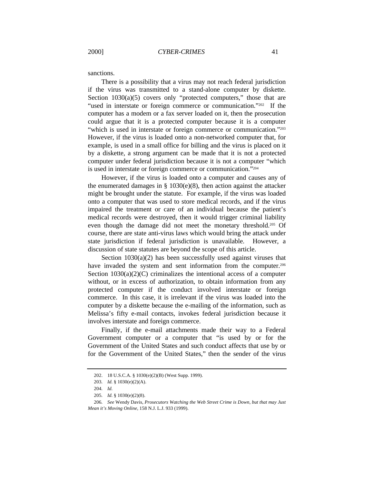sanctions.

There is a possibility that a virus may not reach federal jurisdiction if the virus was transmitted to a stand-alone computer by diskette. Section 1030(a)(5) covers only "protected computers," those that are "used in interstate or foreign commerce or communication."<sup>202</sup> If the computer has a modem or a fax server loaded on it, then the prosecution could argue that it is a protected computer because it is a computer "which is used in interstate or foreign commerce or communication."203 However, if the virus is loaded onto a non-networked computer that, for example, is used in a small office for billing and the virus is placed on it by a diskette, a strong argument can be made that it is not a protected computer under federal jurisdiction because it is not a computer "which is used in interstate or foreign commerce or communication."<sup>204</sup>

However, if the virus is loaded onto a computer and causes any of the enumerated damages in  $\S$  1030(e)(8), then action against the attacker might be brought under the statute. For example, if the virus was loaded onto a computer that was used to store medical records, and if the virus impaired the treatment or care of an individual because the patient's medical records were destroyed, then it would trigger criminal liability even though the damage did not meet the monetary threshold.205 Of course, there are state anti-virus laws which would bring the attack under state jurisdiction if federal jurisdiction is unavailable. However, a discussion of state statutes are beyond the scope of this article.

Section 1030(a)(2) has been successfully used against viruses that have invaded the system and sent information from the computer.<sup>206</sup> Section  $1030(a)(2)(C)$  criminalizes the intentional access of a computer without, or in excess of authorization, to obtain information from any protected computer if the conduct involved interstate or foreign commerce. In this case, it is irrelevant if the virus was loaded into the computer by a diskette because the e-mailing of the information, such as Melissa's fifty e-mail contacts, invokes federal jurisdiction because it involves interstate and foreign commerce.

Finally, if the e-mail attachments made their way to a Federal Government computer or a computer that "is used by or for the Government of the United States and such conduct affects that use by or for the Government of the United States," then the sender of the virus

<sup>202.</sup> 18 U.S.C.A. § 1030(e)(2)(B) (West Supp. 1999).

<sup>203</sup>*. Id.* § 1030(e)(2)(A).

<sup>204</sup>*. Id.*

<sup>205</sup>*. Id.* § 1030(e)(2)(8).

<sup>206</sup>*. See* Wendy Davis, *Prosecutors Watching the Web Street Crime is Down, but that may Just Mean it's Moving Online,* 158 N.J. L.J. 933 (1999).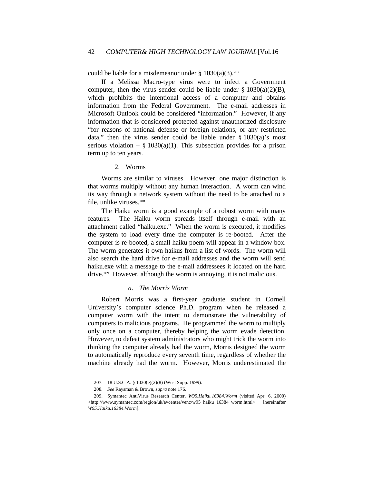could be liable for a misdemeanor under  $\S 1030(a)(3)$ .<sup>207</sup>

If a Melissa Macro-type virus were to infect a Government computer, then the virus sender could be liable under  $\S 1030(a)(2)(B)$ , which prohibits the intentional access of a computer and obtains information from the Federal Government. The e-mail addresses in Microsoft Outlook could be considered "information." However, if any information that is considered protected against unauthorized disclosure "for reasons of national defense or foreign relations, or any restricted data," then the virus sender could be liable under  $\S$  1030(a)'s most serious violation – § 1030(a)(1). This subsection provides for a prison term up to ten years.

## 2. Worms

Worms are similar to viruses. However, one major distinction is that worms multiply without any human interaction. A worm can wind its way through a network system without the need to be attached to a file, unlike viruses.<sup>208</sup>

The Haiku worm is a good example of a robust worm with many features. The Haiku worm spreads itself through e-mail with an attachment called "haiku.exe." When the worm is executed, it modifies the system to load every time the computer is re-booted. After the computer is re-booted, a small haiku poem will appear in a window box. The worm generates it own haikus from a list of words. The worm will also search the hard drive for e-mail addresses and the worm will send haiku.exe with a message to the e-mail addressees it located on the hard drive.209 However, although the worm is annoying, it is not malicious.

## *a. The Morris Worm*

Robert Morris was a first-year graduate student in Cornell University's computer science Ph.D. program when he released a computer worm with the intent to demonstrate the vulnerability of computers to malicious programs. He programmed the worm to multiply only once on a computer, thereby helping the worm evade detection. However, to defeat system administrators who might trick the worm into thinking the computer already had the worm, Morris designed the worm to automatically reproduce every seventh time, regardless of whether the machine already had the worm. However, Morris underestimated the

<sup>207.</sup> 18 U.S.C.A. § 1030(e)(2)(8) (West Supp. 1999).

<sup>208</sup>*. See* Raysman & Brown, *supra* note 176.

<sup>209.</sup> Symantec AntiVirus Research Center, *W95.Haiku.16384.Worm* (visited Apr. 6, 2000) <http://www.symantec.com/region/uk/avcenter/venc/w95\_haiku\_16384\_worm.html> [hereinafter *W95.Haiku.16384.Worm*].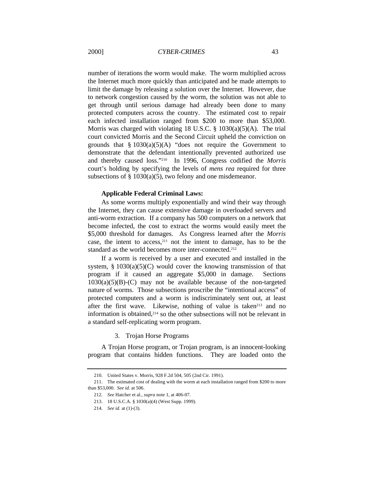number of iterations the worm would make. The worm multiplied across the Internet much more quickly than anticipated and he made attempts to limit the damage by releasing a solution over the Internet. However, due to network congestion caused by the worm, the solution was not able to get through until serious damage had already been done to many protected computers across the country. The estimated cost to repair each infected installation ranged from \$200 to more than \$53,000. Morris was charged with violating 18 U.S.C.  $\S$  1030(a)(5)(A). The trial court convicted Morris and the Second Circuit upheld the conviction on grounds that  $§ 1030(a)(5)(A)$  "does not require the Government to demonstrate that the defendant intentionally prevented authorized use and thereby caused loss."210 In 1996, Congress codified the *Morris* court's holding by specifying the levels of *mens rea* required for three subsections of  $\S$  1030(a)(5), two felony and one misdemeanor.

#### **Applicable Federal Criminal Laws:**

As some worms multiply exponentially and wind their way through the Internet, they can cause extensive damage in overloaded servers and anti-worm extraction. If a company has 500 computers on a network that become infected, the cost to extract the worms would easily meet the \$5,000 threshold for damages. As Congress learned after the *Morris* case, the intent to access,211 not the intent to damage, has to be the standard as the world becomes more inter-connected.<sup>212</sup>

If a worm is received by a user and executed and installed in the system,  $\S$  1030(a)(5)(C) would cover the knowing transmission of that program if it caused an aggregate \$5,000 in damage. Sections  $1030(a)(5)(B)-(C)$  may not be available because of the non-targeted nature of worms. Those subsections proscribe the "intentional access" of protected computers and a worm is indiscriminately sent out, at least after the first wave. Likewise, nothing of value is taken<sup>213</sup> and no information is obtained,214 so the other subsections will not be relevant in a standard self-replicating worm program.

3. Trojan Horse Programs

A Trojan Horse program, or Trojan program, is an innocent-looking program that contains hidden functions. They are loaded onto the

<sup>210.</sup> United States v. Morris, 928 F.2d 504, 505 (2nd Cir. 1991).

<sup>211.</sup> The estimated cost of dealing with the worm at each installation ranged from \$200 to more than \$53,000. *See id.* at 506.

<sup>212</sup>*. See* Hatcher et al., *supra* note 1, at 406-07.

<sup>213.</sup> 18 U.S.C.A. § 1030(a)(4) (West Supp. 1999).

<sup>214</sup>*. See id.* at (1)-(3).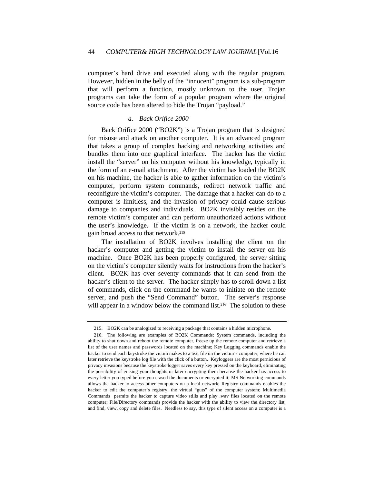computer's hard drive and executed along with the regular program. However, hidden in the belly of the "innocent" program is a sub-program that will perform a function, mostly unknown to the user. Trojan programs can take the form of a popular program where the original source code has been altered to hide the Trojan "payload."

#### *a. Back Orifice 2000*

Back Orifice 2000 ("BO2K") is a Trojan program that is designed for misuse and attack on another computer. It is an advanced program that takes a group of complex hacking and networking activities and bundles them into one graphical interface. The hacker has the victim install the "server" on his computer without his knowledge, typically in the form of an e-mail attachment. After the victim has loaded the BO2K on his machine, the hacker is able to gather information on the victim's computer, perform system commands, redirect network traffic and reconfigure the victim's computer. The damage that a hacker can do to a computer is limitless, and the invasion of privacy could cause serious damage to companies and individuals. BO2K invisibly resides on the remote victim's computer and can perform unauthorized actions without the user's knowledge. If the victim is on a network, the hacker could gain broad access to that network.<sup>215</sup>

The installation of BO2K involves installing the client on the hacker's computer and getting the victim to install the server on his machine. Once BO2K has been properly configured, the server sitting on the victim's computer silently waits for instructions from the hacker's client. BO2K has over seventy commands that it can send from the hacker's client to the server. The hacker simply has to scroll down a list of commands, click on the command he wants to initiate on the remote server, and push the "Send Command" button. The server's response will appear in a window below the command list.<sup>216</sup> The solution to these

<sup>215.</sup> BO2K can be analogized to receiving a package that contains a hidden microphone.

<sup>216.</sup> The following are examples of BO2K Commands: System commands, including the ability to shut down and reboot the remote computer, freeze up the remote computer and retrieve a list of the user names and passwords located on the machine; Key Logging commands enable the hacker to send each keystroke the victim makes to a text file on the victim's computer, where he can later retrieve the keystroke log file with the click of a button. Keyloggers are the most pernicious of privacy invasions because the keystroke logger saves every key pressed on the keyboard, eliminating the possibility of erasing your thoughts or later encrypting them because the hacker has access to every letter you typed before you erased the documents or encrypted it; MS Networking commands allows the hacker to access other computers on a local network; Registry commands enables the hacker to edit the computer's registry, the virtual "guts" of the computer system; Multimedia Commands permits the hacker to capture video stills and play .wav files located on the remote computer; File/Directory commands provide the hacker with the ability to view the directory list, and find, view, copy and delete files. Needless to say, this type of silent access on a computer is a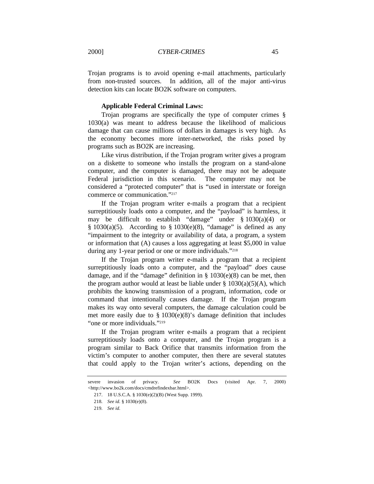Trojan programs is to avoid opening e-mail attachments, particularly from non-trusted sources. In addition, all of the major anti-virus detection kits can locate BO2K software on computers.

#### **Applicable Federal Criminal Laws:**

Trojan programs are specifically the type of computer crimes § 1030(a) was meant to address because the likelihood of malicious damage that can cause millions of dollars in damages is very high. As the economy becomes more inter-networked, the risks posed by programs such as BO2K are increasing.

Like virus distribution, if the Trojan program writer gives a program on a diskette to someone who installs the program on a stand-alone computer, and the computer is damaged, there may not be adequate Federal jurisdiction in this scenario. The computer may not be considered a "protected computer" that is "used in interstate or foreign commerce or communication."<sup>217</sup>

If the Trojan program writer e-mails a program that a recipient surreptitiously loads onto a computer, and the "payload" is harmless, it may be difficult to establish "damage" under § 1030(a)(4) or  $§ 1030(a)(5)$ . According to  $§ 1030(e)(8)$ , "damage" is defined as any "impairment to the integrity or availability of data, a program, a system or information that (A) causes a loss aggregating at least \$5,000 in value during any 1-year period or one or more individuals."<sup>218</sup>

If the Trojan program writer e-mails a program that a recipient surreptitiously loads onto a computer, and the "payload" *does* cause damage, and if the "damage" definition in  $\S$  1030(e)(8) can be met, then the program author would at least be liable under  $\S$  1030(a)(5)(A), which prohibits the knowing transmission of a program, information, code or command that intentionally causes damage. If the Trojan program makes its way onto several computers, the damage calculation could be met more easily due to § 1030(e)(8)'s damage definition that includes "one or more individuals."<sup>219</sup>

If the Trojan program writer e-mails a program that a recipient surreptitiously loads onto a computer, and the Trojan program is a program similar to Back Orifice that transmits information from the victim's computer to another computer, then there are several statutes that could apply to the Trojan writer's actions, depending on the

severe invasion of privacy. *See* BO2K Docs (visited Apr. 7, 2000) <http://www.bo2k.com/docs/cmdrefindexbar.html>.

<sup>217.</sup> 18 U.S.C.A. § 1030(e)(2)(B) (West Supp. 1999).

<sup>218</sup>*. See id.* § 1030(e)(8).

<sup>219</sup>*. See id.*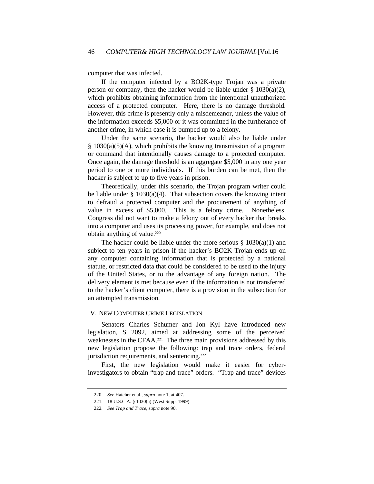computer that was infected.

If the computer infected by a BO2K-type Trojan was a private person or company, then the hacker would be liable under  $\S 1030(a)(2)$ , which prohibits obtaining information from the intentional unauthorized access of a protected computer. Here, there is no damage threshold. However, this crime is presently only a misdemeanor, unless the value of the information exceeds \$5,000 or it was committed in the furtherance of another crime, in which case it is bumped up to a felony.

Under the same scenario, the hacker would also be liable under § 1030(a)(5)(A), which prohibits the knowing transmission of a program or command that intentionally causes damage to a protected computer. Once again, the damage threshold is an aggregate \$5,000 in any one year period to one or more individuals. If this burden can be met, then the hacker is subject to up to five years in prison.

Theoretically, under this scenario, the Trojan program writer could be liable under  $\S$  1030(a)(4). That subsection covers the knowing intent to defraud a protected computer and the procurement of anything of value in excess of \$5,000. This is a felony crime. Nonetheless, Congress did not want to make a felony out of every hacker that breaks into a computer and uses its processing power, for example, and does not obtain anything of value.<sup>220</sup>

The hacker could be liable under the more serious  $\S$  1030(a)(1) and subject to ten years in prison if the hacker's BO2K Trojan ends up on any computer containing information that is protected by a national statute, or restricted data that could be considered to be used to the injury of the United States, or to the advantage of any foreign nation. The delivery element is met because even if the information is not transferred to the hacker's client computer, there is a provision in the subsection for an attempted transmission.

#### IV. NEW COMPUTER CRIME LEGISLATION

Senators Charles Schumer and Jon Kyl have introduced new legislation, S 2092, aimed at addressing some of the perceived weaknesses in the CFAA.221 The three main provisions addressed by this new legislation propose the following: trap and trace orders, federal jurisdiction requirements, and sentencing.<sup>222</sup>

First, the new legislation would make it easier for cyberinvestigators to obtain "trap and trace" orders. "Trap and trace" devices

<sup>220</sup>*. See* Hatcher et al., *supra* note 1, at 407.

<sup>221.</sup> 18 U.S.C.A. § 1030(a) (West Supp. 1999).

<sup>222</sup>*. See Trap and Trace, supra* note 90.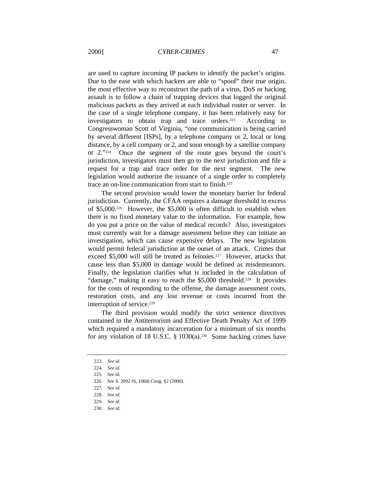are used to capture incoming IP packets to identify the packet's origins. Due to the ease with which hackers are able to "spoof" their true origin, the most effective way to reconstruct the path of a virus, DoS or hacking assault is to follow a chain of trapping devices that logged the original malicious packets as they arrived at each individual router or server. In the case of a single telephone company, it has been relatively easy for investigators to obtain trap and trace orders.<sup>223</sup> According to Congresswoman Scott of Virginia, "one communication is being carried by several different [ISPs], by a telephone company or 2, local or long distance, by a cell company or 2, and soon enough by a satellite company or 2."224 Once the segment of the route goes beyond the court's jurisdiction, investigators must then go to the next jurisdiction and file a request for a trap and trace order for the next segment. The new legislation would authorize the issuance of a single order to completely trace an on-line communication from start to finish.<sup>225</sup>

The second provision would lower the monetary barrier for federal jurisdiction. Currently, the CFAA requires a damage threshold in excess of \$5,000.226 However, the \$5,000 is often difficult to establish when there is no fixed monetary value to the information. For example, how do you put a price on the value of medical records? Also, investigators must currently wait for a damage assessment before they can initiate an investigation, which can cause expensive delays. The new legislation would permit federal jurisdiction at the outset of an attack. Crimes that exceed \$5,000 will still be treated as felonies.227 However, attacks that cause less than \$5,000 in damage would be defined as misdemeanors. Finally, the legislation clarifies what is included in the calculation of "damage," making it easy to reach the \$5,000 threshold.<sup>228</sup> It provides for the costs of responding to the offense, the damage assessment costs, restoration costs, and any lost revenue or costs incurred from the interruption of service.<sup>229</sup>

The third provision would modify the strict sentence directives contained in the Antiterrorism and Effective Death Penalty Act of 1999 which required a mandatory incarceration for a minimum of six months for any violation of 18 U.S.C.  $\S$  1030(a).<sup>230</sup> Some hacking crimes have

<sup>223</sup>*. See id.*

<sup>224</sup>*. See id.*

<sup>225</sup>*. See id.*

<sup>226</sup>*. See* S. 2092 IS, 106th Cong. §2 (2000).

<sup>227</sup>*. See id.*

<sup>228</sup>*. See id.*

<sup>229</sup>*. See id.*

<sup>230</sup>*. See id.*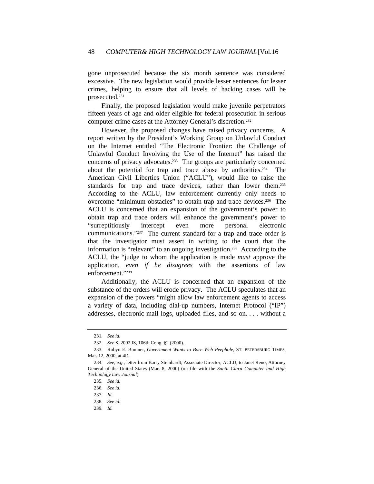gone unprosecuted because the six month sentence was considered excessive. The new legislation would provide lesser sentences for lesser crimes, helping to ensure that all levels of hacking cases will be prosecuted.<sup>231</sup>

Finally, the proposed legislation would make juvenile perpetrators fifteen years of age and older eligible for federal prosecution in serious computer crime cases at the Attorney General's discretion.<sup>232</sup>

However, the proposed changes have raised privacy concerns. A report written by the President's Working Group on Unlawful Conduct on the Internet entitled "The Electronic Frontier: the Challenge of Unlawful Conduct Involving the Use of the Internet" has raised the concerns of privacy advocates.233 The groups are particularly concerned about the potential for trap and trace abuse by authorities.<sup>234</sup> The American Civil Liberties Union ("ACLU"), would like to raise the standards for trap and trace devices, rather than lower them.<sup>235</sup> According to the ACLU, law enforcement currently only needs to overcome "minimum obstacles" to obtain trap and trace devices.236 The ACLU is concerned that an expansion of the government's power to obtain trap and trace orders will enhance the government's power to "surreptitiously intercept even more personal electronic communications."237 The current standard for a trap and trace order is that the investigator must assert in writing to the court that the information is "relevant" to an ongoing investigation.238 According to the ACLU, the "judge to whom the application is made *must* approve the application, *even if he disagrees* with the assertions of law enforcement."<sup>239</sup>

Additionally, the ACLU is concerned that an expansion of the substance of the orders will erode privacy. The ACLU speculates that an expansion of the powers "might allow law enforcement agents to access a variety of data, including dial-up numbers, Internet Protocol ("IP") addresses, electronic mail logs, uploaded files, and so on. . . . without a

<sup>231</sup>*. See id.*

<sup>232</sup>*. See* S. 2092 IS, 106th Cong. §2 (2000).

<sup>233.</sup> Robyn E. Bumner, *Government Wants to Bore Web Peephole*, ST. PETERSBURG TIMES, Mar. 12, 2000, at 4D.

<sup>234</sup>*. See, e.g.,* letter from Barry Steinhardt, Associate Director, ACLU, to Janet Reno, Attorney General of the United States (Mar. 8, 2000) (on file with the *Santa Clara Computer and High Technology Law Journal*).

<sup>235</sup>*. See id.*

<sup>236</sup>*. See id.*

<sup>237</sup>*. Id.*

<sup>238</sup>*. See id.*

<sup>239</sup>*. Id.*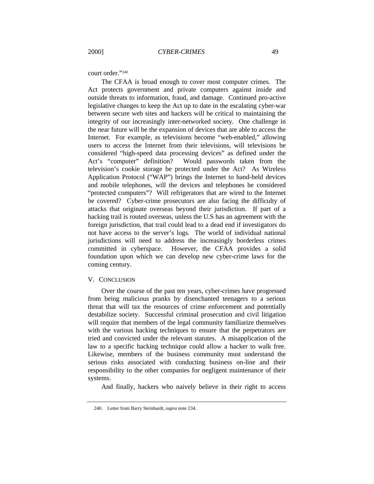court order."<sup>240</sup>

The CFAA is broad enough to cover most computer crimes. The Act protects government and private computers against inside and outside threats to information, fraud, and damage. Continued pro-active legislative changes to keep the Act up to date in the escalating cyber-war between secure web sites and hackers will be critical to maintaining the integrity of our increasingly inter-networked society. One challenge in the near future will be the expansion of devices that are able to access the Internet. For example, as televisions become "web-enabled," allowing users to access the Internet from their televisions, will televisions be considered "high-speed data processing devices" as defined under the Act's "computer" definition? Would passwords taken from the television's cookie storage be protected under the Act? As Wireless Application Protocol ("WAP") brings the Internet to hand-held devices and mobile telephones, will the devices and telephones be considered "protected computers"? Will refrigerators that are wired to the Internet be covered? Cyber-crime prosecutors are also facing the difficulty of attacks that originate overseas beyond their jurisdiction. If part of a hacking trail is routed overseas, unless the U.S has an agreement with the foreign jurisdiction, that trail could lead to a dead end if investigators do not have access to the server's logs. The world of individual national jurisdictions will need to address the increasingly borderless crimes committed in cyberspace. However, the CFAA provides a solid foundation upon which we can develop new cyber-crime laws for the coming century.

#### V. CONCLUSION

Over the course of the past ten years, cyber-crimes have progressed from being malicious pranks by disenchanted teenagers to a serious threat that will tax the resources of crime enforcement and potentially destabilize society. Successful criminal prosecution and civil litigation will require that members of the legal community familiarize themselves with the various hacking techniques to ensure that the perpetrators are tried and convicted under the relevant statutes. A misapplication of the law to a specific hacking technique could allow a hacker to walk free. Likewise, members of the business community must understand the serious risks associated with conducting business on-line and their responsibility to the other companies for negligent maintenance of their systems.

And finally, hackers who naively believe in their right to access

<sup>240.</sup> Letter from Barry Steinhardt, *supra* note 234*.*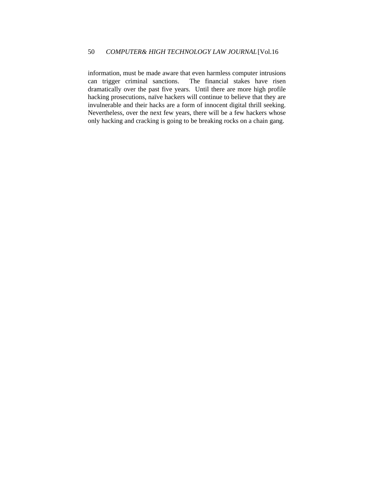information, must be made aware that even harmless computer intrusions can trigger criminal sanctions. The financial stakes have risen dramatically over the past five years. Until there are more high profile hacking prosecutions, naïve hackers will continue to believe that they are invulnerable and their hacks are a form of innocent digital thrill seeking. Nevertheless, over the next few years, there will be a few hackers whose only hacking and cracking is going to be breaking rocks on a chain gang.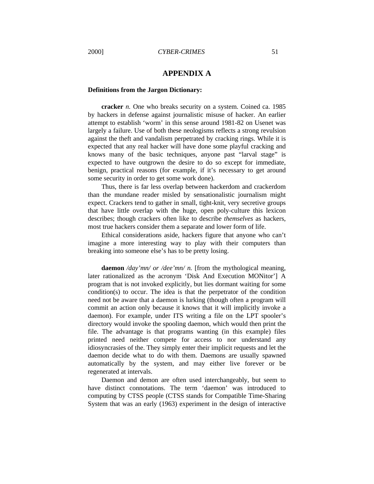## **APPENDIX A**

#### **Definitions from the Jargon Dictionary:**

**cracker** *n.* One who breaks security on a system. Coined ca. 1985 by hackers in defense against journalistic misuse of hacker. An earlier attempt to establish 'worm' in this sense around 1981-82 on Usenet was largely a failure. Use of both these neologisms reflects a strong revulsion against the theft and vandalism perpetrated by cracking rings. While it is expected that any real hacker will have done some playful cracking and knows many of the basic techniques, anyone past "larval stage" is expected to have outgrown the desire to do so except for immediate, benign, practical reasons (for example, if it's necessary to get around some security in order to get some work done).

Thus, there is far less overlap between hackerdom and crackerdom than the mundane reader misled by sensationalistic journalism might expect. Crackers tend to gather in small, tight-knit, very secretive groups that have little overlap with the huge, open poly-culture this lexicon describes; though crackers often like to describe *themselves* as hackers, most true hackers consider them a separate and lower form of life.

Ethical considerations aside, hackers figure that anyone who can't imagine a more interesting way to play with their computers than breaking into someone else's has to be pretty losing.

**daemon** */day'mn/ or /dee'mn/ n.* [from the mythological meaning, later rationalized as the acronym 'Disk And Execution MONitor'] A program that is not invoked explicitly, but lies dormant waiting for some condition(s) to occur. The idea is that the perpetrator of the condition need not be aware that a daemon is lurking (though often a program will commit an action only because it knows that it will implicitly invoke a daemon). For example, under ITS writing a file on the LPT spooler's directory would invoke the spooling daemon, which would then print the file. The advantage is that programs wanting (in this example) files printed need neither compete for access to nor understand any idiosyncrasies of the. They simply enter their implicit requests and let the daemon decide what to do with them. Daemons are usually spawned automatically by the system, and may either live forever or be regenerated at intervals.

Daemon and demon are often used interchangeably, but seem to have distinct connotations. The term 'daemon' was introduced to computing by CTSS people (CTSS stands for Compatible Time-Sharing System that was an early (1963) experiment in the design of interactive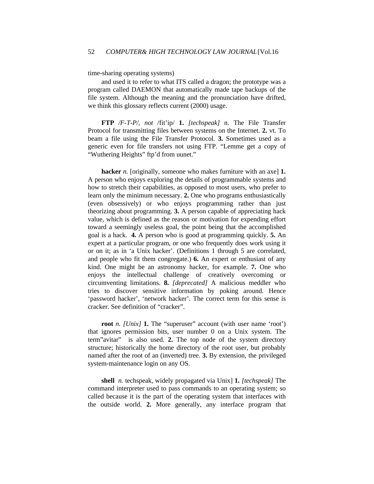time-sharing operating systems)

and used it to refer to what ITS called a dragon; the prototype was a program called DAEMON that automatically made tape backups of the file system. Although the meaning and the pronunciation have drifted, we think this glossary reflects current (2000) usage.

**FTP** */F-T-P/, not* /fit'ip/ **1.** *[techspeak]* n. The File Transfer Protocol for transmitting files between systems on the Internet. **2.** vt. To beam a file using the File Transfer Protocol. **3.** Sometimes used as a generic even for file transfers not using FTP. "Lemme get a copy of "Wuthering Heights" ftp'd from uunet."

**hacker** *n*. [originally, someone who makes furniture with an axe] **1.** A person who enjoys exploring the details of programmable systems and how to stretch their capabilities, as opposed to most users, who prefer to learn only the minimum necessary. **2.** One who programs enthusiastically (even obsessively) or who enjoys programming rather than just theorizing about programming. **3.** A person capable of appreciating hack value, which is defined as the reason or motivation for expending effort toward a seemingly useless goal, the point being that the accomplished goal is a hack. **4.** A person who is good at programming quickly. **5.** An expert at a particular program, or one who frequently does work using it or on it; as in 'a Unix hacker'. (Definitions 1 through 5 are correlated, and people who fit them congregate.) **6.** An expert or enthusiast of any kind. One might be an astronomy hacker, for example. **7.** One who enjoys the intellectual challenge of creatively overcoming or circumventing limitations. **8.** *[deprecated]* A malicious meddler who tries to discover sensitive information by poking around. Hence 'password hacker', 'network hacker'. The correct term for this sense is cracker. See definition of "cracker".

**root** *n. [Unix]* **1.** The "superuser" account (with user name 'root') that ignores permission bits, user number 0 on a Unix system. The term"avitar" is also used. **2.** The top node of the system directory structure; historically the home directory of the root user, but probably named after the root of an (inverted) tree. **3.** By extension, the privileged system-maintenance login on any OS.

**shell** *n.* techspeak, widely propagated via Unix] **1.** *[techspeak]* The command interpreter used to pass commands to an operating system; so called because it is the part of the operating system that interfaces with the outside world. **2.** More generally, any interface program that